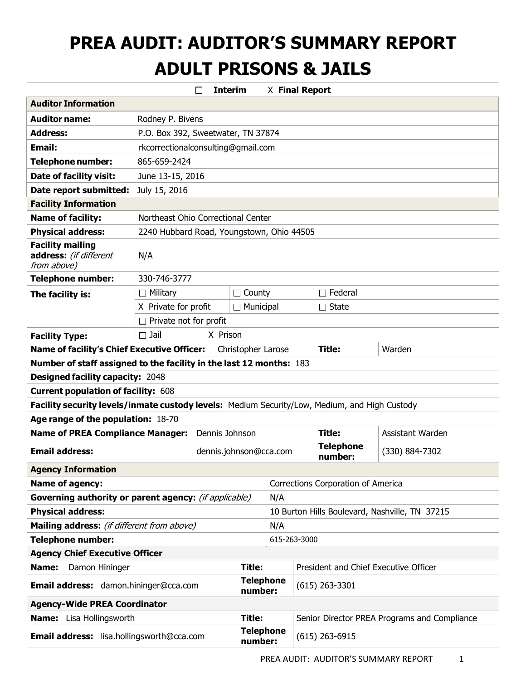# **PREA AUDIT: AUDITOR'S SUMMARY REPORT ADULT PRISONS & JAILS**

|                                                                                               |                                                | П              | <b>Interim</b>                            | X Final Report                        |                                              |  |  |
|-----------------------------------------------------------------------------------------------|------------------------------------------------|----------------|-------------------------------------------|---------------------------------------|----------------------------------------------|--|--|
| <b>Auditor Information</b>                                                                    |                                                |                |                                           |                                       |                                              |  |  |
| <b>Auditor name:</b>                                                                          | Rodney P. Bivens                               |                |                                           |                                       |                                              |  |  |
| <b>Address:</b>                                                                               | P.O. Box 392, Sweetwater, TN 37874             |                |                                           |                                       |                                              |  |  |
| <b>Email:</b>                                                                                 | rkcorrectionalconsulting@gmail.com             |                |                                           |                                       |                                              |  |  |
| <b>Telephone number:</b>                                                                      | 865-659-2424                                   |                |                                           |                                       |                                              |  |  |
| Date of facility visit:                                                                       | June 13-15, 2016                               |                |                                           |                                       |                                              |  |  |
| Date report submitted:                                                                        | July 15, 2016                                  |                |                                           |                                       |                                              |  |  |
| <b>Facility Information</b>                                                                   |                                                |                |                                           |                                       |                                              |  |  |
| <b>Name of facility:</b>                                                                      | Northeast Ohio Correctional Center             |                |                                           |                                       |                                              |  |  |
| <b>Physical address:</b>                                                                      |                                                |                | 2240 Hubbard Road, Youngstown, Ohio 44505 |                                       |                                              |  |  |
| <b>Facility mailing</b><br>address: (if different<br>from above)                              | N/A                                            |                |                                           |                                       |                                              |  |  |
| <b>Telephone number:</b>                                                                      | 330-746-3777                                   |                |                                           |                                       |                                              |  |  |
| The facility is:                                                                              | $\Box$ Military                                |                | $\Box$ County                             | $\Box$ Federal                        |                                              |  |  |
|                                                                                               | X Private for profit                           |                | $\Box$ Municipal                          | $\Box$ State                          |                                              |  |  |
|                                                                                               | $\Box$ Private not for profit                  |                |                                           |                                       |                                              |  |  |
| <b>Facility Type:</b>                                                                         | $\square$ Jail                                 | X Prison       |                                           |                                       |                                              |  |  |
| <b>Name of facility's Chief Executive Officer:</b>                                            |                                                |                | Christopher Larose                        | Title:                                | Warden                                       |  |  |
| Number of staff assigned to the facility in the last 12 months: 183                           |                                                |                |                                           |                                       |                                              |  |  |
| <b>Designed facility capacity: 2048</b>                                                       |                                                |                |                                           |                                       |                                              |  |  |
| <b>Current population of facility: 608</b>                                                    |                                                |                |                                           |                                       |                                              |  |  |
| Facility security levels/inmate custody levels: Medium Security/Low, Medium, and High Custody |                                                |                |                                           |                                       |                                              |  |  |
| Age range of the population: 18-70                                                            |                                                |                |                                           |                                       |                                              |  |  |
| <b>Name of PREA Compliance Manager:</b>                                                       |                                                | Dennis Johnson |                                           | <b>Title:</b>                         | Assistant Warden                             |  |  |
| <b>Email address:</b>                                                                         |                                                |                | dennis.johnson@cca.com                    | <b>Telephone</b><br>number:           | (330) 884-7302                               |  |  |
| <b>Agency Information</b>                                                                     |                                                |                |                                           |                                       |                                              |  |  |
| <b>Name of agency:</b>                                                                        |                                                |                |                                           | Corrections Corporation of America    |                                              |  |  |
| Governing authority or parent agency: (if applicable)                                         |                                                |                | N/A                                       |                                       |                                              |  |  |
| <b>Physical address:</b>                                                                      | 10 Burton Hills Boulevard, Nashville, TN 37215 |                |                                           |                                       |                                              |  |  |
| Mailing address: (if different from above)                                                    | N/A                                            |                |                                           |                                       |                                              |  |  |
| <b>Telephone number:</b>                                                                      |                                                |                |                                           | 615-263-3000                          |                                              |  |  |
| <b>Agency Chief Executive Officer</b>                                                         |                                                |                |                                           |                                       |                                              |  |  |
| Name:<br>Damon Hininger                                                                       |                                                |                | Title:                                    | President and Chief Executive Officer |                                              |  |  |
| Email address: damon.hininger@cca.com                                                         |                                                |                | <b>Telephone</b><br>number:               | $(615)$ 263-3301                      |                                              |  |  |
| <b>Agency-Wide PREA Coordinator</b>                                                           |                                                |                |                                           |                                       |                                              |  |  |
| Name: Lisa Hollingsworth                                                                      |                                                |                | <b>Title:</b>                             |                                       | Senior Director PREA Programs and Compliance |  |  |
| Email address: lisa.hollingsworth@cca.com                                                     |                                                |                | <b>Telephone</b><br>number:               | $(615)$ 263-6915                      |                                              |  |  |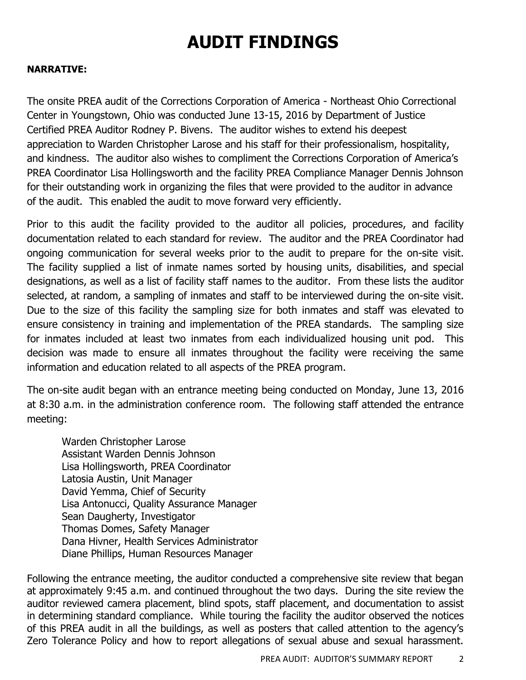# **AUDIT FINDINGS**

#### **NARRATIVE:**

The onsite PREA audit of the Corrections Corporation of America - Northeast Ohio Correctional Center in Youngstown, Ohio was conducted June 13-15, 2016 by Department of Justice Certified PREA Auditor Rodney P. Bivens. The auditor wishes to extend his deepest appreciation to Warden Christopher Larose and his staff for their professionalism, hospitality, and kindness. The auditor also wishes to compliment the Corrections Corporation of America's PREA Coordinator Lisa Hollingsworth and the facility PREA Compliance Manager Dennis Johnson for their outstanding work in organizing the files that were provided to the auditor in advance of the audit. This enabled the audit to move forward very efficiently.

Prior to this audit the facility provided to the auditor all policies, procedures, and facility documentation related to each standard for review. The auditor and the PREA Coordinator had ongoing communication for several weeks prior to the audit to prepare for the on-site visit. The facility supplied a list of inmate names sorted by housing units, disabilities, and special designations, as well as a list of facility staff names to the auditor. From these lists the auditor selected, at random, a sampling of inmates and staff to be interviewed during the on-site visit. Due to the size of this facility the sampling size for both inmates and staff was elevated to ensure consistency in training and implementation of the PREA standards. The sampling size for inmates included at least two inmates from each individualized housing unit pod. This decision was made to ensure all inmates throughout the facility were receiving the same information and education related to all aspects of the PREA program.

The on-site audit began with an entrance meeting being conducted on Monday, June 13, 2016 at 8:30 a.m. in the administration conference room. The following staff attended the entrance meeting:

Warden Christopher Larose Assistant Warden Dennis Johnson Lisa Hollingsworth, PREA Coordinator Latosia Austin, Unit Manager David Yemma, Chief of Security Lisa Antonucci, Quality Assurance Manager Sean Daugherty, Investigator Thomas Domes, Safety Manager Dana Hivner, Health Services Administrator Diane Phillips, Human Resources Manager

Following the entrance meeting, the auditor conducted a comprehensive site review that began at approximately 9:45 a.m. and continued throughout the two days. During the site review the auditor reviewed camera placement, blind spots, staff placement, and documentation to assist in determining standard compliance. While touring the facility the auditor observed the notices of this PREA audit in all the buildings, as well as posters that called attention to the agency's Zero Tolerance Policy and how to report allegations of sexual abuse and sexual harassment.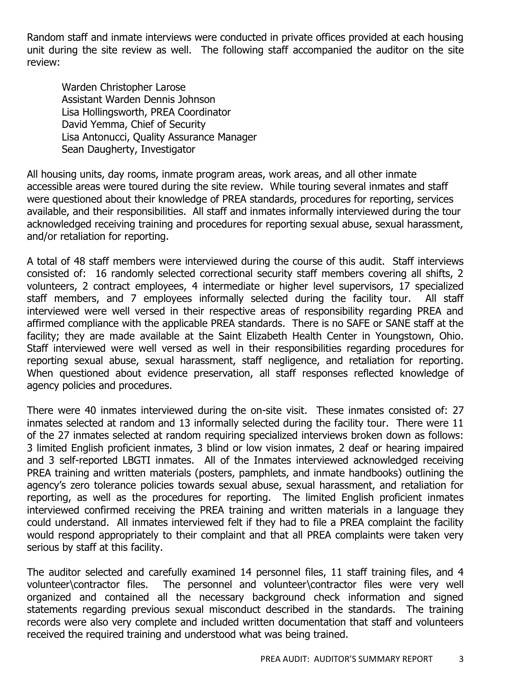Random staff and inmate interviews were conducted in private offices provided at each housing unit during the site review as well. The following staff accompanied the auditor on the site review:

Warden Christopher Larose Assistant Warden Dennis Johnson Lisa Hollingsworth, PREA Coordinator David Yemma, Chief of Security Lisa Antonucci, Quality Assurance Manager Sean Daugherty, Investigator

All housing units, day rooms, inmate program areas, work areas, and all other inmate accessible areas were toured during the site review. While touring several inmates and staff were questioned about their knowledge of PREA standards, procedures for reporting, services available, and their responsibilities. All staff and inmates informally interviewed during the tour acknowledged receiving training and procedures for reporting sexual abuse, sexual harassment, and/or retaliation for reporting.

A total of 48 staff members were interviewed during the course of this audit. Staff interviews consisted of: 16 randomly selected correctional security staff members covering all shifts, 2 volunteers, 2 contract employees, 4 intermediate or higher level supervisors, 17 specialized staff members, and 7 employees informally selected during the facility tour. All staff interviewed were well versed in their respective areas of responsibility regarding PREA and affirmed compliance with the applicable PREA standards. There is no SAFE or SANE staff at the facility; they are made available at the Saint Elizabeth Health Center in Youngstown, Ohio. Staff interviewed were well versed as well in their responsibilities regarding procedures for reporting sexual abuse, sexual harassment, staff negligence, and retaliation for reporting. When questioned about evidence preservation, all staff responses reflected knowledge of agency policies and procedures.

There were 40 inmates interviewed during the on-site visit. These inmates consisted of: 27 inmates selected at random and 13 informally selected during the facility tour. There were 11 of the 27 inmates selected at random requiring specialized interviews broken down as follows: 3 limited English proficient inmates, 3 blind or low vision inmates, 2 deaf or hearing impaired and 3 self-reported LBGTI inmates. All of the Inmates interviewed acknowledged receiving PREA training and written materials (posters, pamphlets, and inmate handbooks) outlining the agency's zero tolerance policies towards sexual abuse, sexual harassment, and retaliation for reporting, as well as the procedures for reporting. The limited English proficient inmates interviewed confirmed receiving the PREA training and written materials in a language they could understand. All inmates interviewed felt if they had to file a PREA complaint the facility would respond appropriately to their complaint and that all PREA complaints were taken very serious by staff at this facility.

The auditor selected and carefully examined 14 personnel files, 11 staff training files, and 4 volunteer\contractor files. The personnel and volunteer\contractor files were very well organized and contained all the necessary background check information and signed statements regarding previous sexual misconduct described in the standards. The training records were also very complete and included written documentation that staff and volunteers received the required training and understood what was being trained.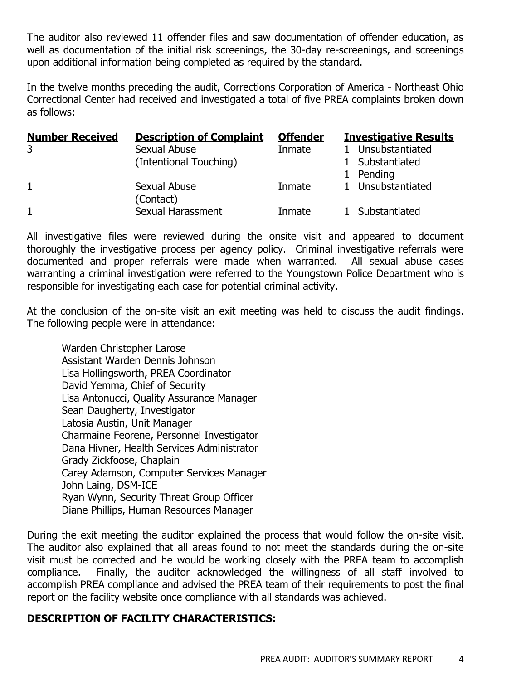The auditor also reviewed 11 offender files and saw documentation of offender education, as well as documentation of the initial risk screenings, the 30-day re-screenings, and screenings upon additional information being completed as required by the standard.

In the twelve months preceding the audit, Corrections Corporation of America - Northeast Ohio Correctional Center had received and investigated a total of five PREA complaints broken down as follows:

| <b>Number Received</b> | <b>Description of Complaint</b> | <b>Offender</b> | <b>Investigative Results</b> |
|------------------------|---------------------------------|-----------------|------------------------------|
| 3                      | Sexual Abuse                    | Inmate          | 1 Unsubstantiated            |
|                        | (Intentional Touching)          |                 | 1 Substantiated              |
|                        |                                 |                 | 1 Pending                    |
| $\mathbf{1}$           | Sexual Abuse<br>(Contact)       | Inmate          | 1 Unsubstantiated            |
| $\mathbf{1}$           | Sexual Harassment               | Inmate          | 1 Substantiated              |

All investigative files were reviewed during the onsite visit and appeared to document thoroughly the investigative process per agency policy. Criminal investigative referrals were documented and proper referrals were made when warranted. All sexual abuse cases warranting a criminal investigation were referred to the Youngstown Police Department who is responsible for investigating each case for potential criminal activity.

At the conclusion of the on-site visit an exit meeting was held to discuss the audit findings. The following people were in attendance:

Warden Christopher Larose Assistant Warden Dennis Johnson Lisa Hollingsworth, PREA Coordinator David Yemma, Chief of Security Lisa Antonucci, Quality Assurance Manager Sean Daugherty, Investigator Latosia Austin, Unit Manager Charmaine Feorene, Personnel Investigator Dana Hivner, Health Services Administrator Grady Zickfoose, Chaplain Carey Adamson, Computer Services Manager John Laing, DSM-ICE Ryan Wynn, Security Threat Group Officer Diane Phillips, Human Resources Manager

During the exit meeting the auditor explained the process that would follow the on-site visit. The auditor also explained that all areas found to not meet the standards during the on-site visit must be corrected and he would be working closely with the PREA team to accomplish compliance. Finally, the auditor acknowledged the willingness of all staff involved to accomplish PREA compliance and advised the PREA team of their requirements to post the final report on the facility website once compliance with all standards was achieved.

#### **DESCRIPTION OF FACILITY CHARACTERISTICS:**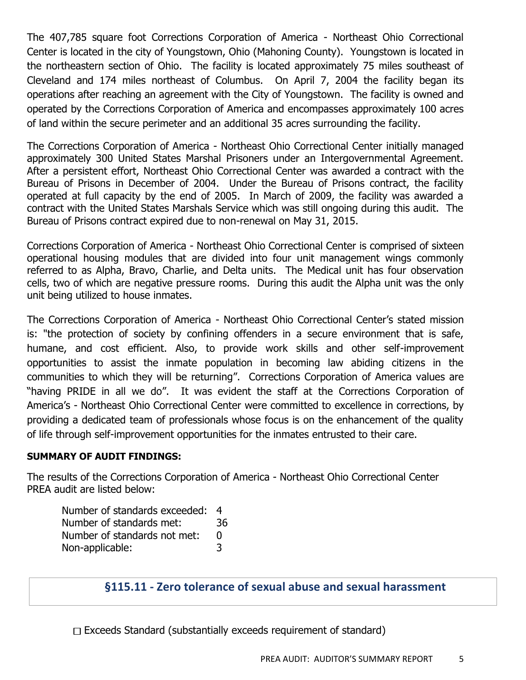The 407,785 square foot Corrections Corporation of America - Northeast Ohio Correctional Center is located in the city of Youngstown, Ohio (Mahoning County). Youngstown is located in the northeastern section of Ohio. The facility is located approximately 75 miles southeast of Cleveland and 174 miles northeast of Columbus. On April 7, 2004 the facility began its operations after reaching an agreement with the City of Youngstown. The facility is owned and operated by the Corrections Corporation of America and encompasses approximately 100 acres of land within the secure perimeter and an additional 35 acres surrounding the facility.

The Corrections Corporation of America - Northeast Ohio Correctional Center initially managed approximately 300 United States Marshal Prisoners under an Intergovernmental Agreement. After a persistent effort, Northeast Ohio Correctional Center was awarded a contract with the Bureau of Prisons in December of 2004. Under the Bureau of Prisons contract, the facility operated at full capacity by the end of 2005. In March of 2009, the facility was awarded a contract with the United States Marshals Service which was still ongoing during this audit. The Bureau of Prisons contract expired due to non-renewal on May 31, 2015.

Corrections Corporation of America - Northeast Ohio Correctional Center is comprised of sixteen operational housing modules that are divided into four unit management wings commonly referred to as Alpha, Bravo, Charlie, and Delta units. The Medical unit has four observation cells, two of which are negative pressure rooms. During this audit the Alpha unit was the only unit being utilized to house inmates.

The Corrections Corporation of America - Northeast Ohio Correctional Center's stated mission is: "the protection of society by confining offenders in a secure environment that is safe, humane, and cost efficient. Also, to provide work skills and other self-improvement opportunities to assist the inmate population in becoming law abiding citizens in the communities to which they will be returning". Corrections Corporation of America values are "having PRIDE in all we do". It was evident the staff at the Corrections Corporation of America's - Northeast Ohio Correctional Center were committed to excellence in corrections, by providing a dedicated team of professionals whose focus is on the enhancement of the quality of life through self-improvement opportunities for the inmates entrusted to their care.

#### **SUMMARY OF AUDIT FINDINGS:**

The results of the Corrections Corporation of America - Northeast Ohio Correctional Center PREA audit are listed below:

| Number of standards exceeded: | -4 |
|-------------------------------|----|
| Number of standards met:      | 36 |
| Number of standards not met:  | n  |
| Non-applicable:               | 3  |

#### **§115.11 - Zero tolerance of sexual abuse and sexual harassment**

 $\Box$  Exceeds Standard (substantially exceeds requirement of standard)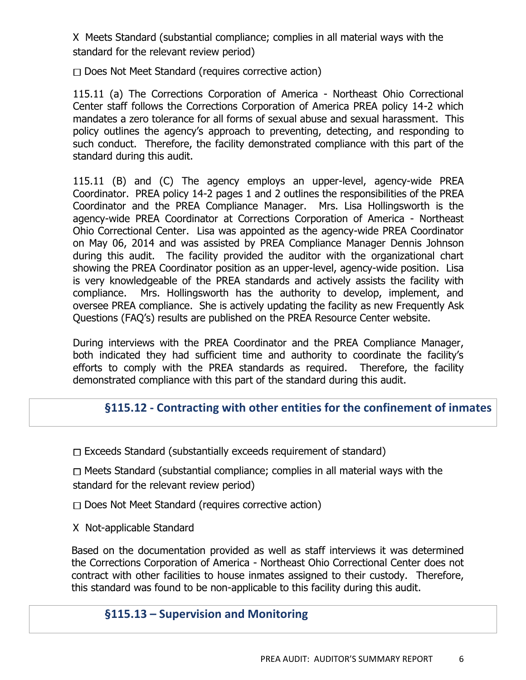X Meets Standard (substantial compliance; complies in all material ways with the standard for the relevant review period)

 $\Box$  Does Not Meet Standard (requires corrective action)

115.11 (a) The Corrections Corporation of America - Northeast Ohio Correctional Center staff follows the Corrections Corporation of America PREA policy 14-2 which mandates a zero tolerance for all forms of sexual abuse and sexual harassment. This policy outlines the agency's approach to preventing, detecting, and responding to such conduct. Therefore, the facility demonstrated compliance with this part of the standard during this audit.

115.11 (B) and (C) The agency employs an upper-level, agency-wide PREA Coordinator. PREA policy 14-2 pages 1 and 2 outlines the responsibilities of the PREA Coordinator and the PREA Compliance Manager. Mrs. Lisa Hollingsworth is the agency-wide PREA Coordinator at Corrections Corporation of America - Northeast Ohio Correctional Center. Lisa was appointed as the agency-wide PREA Coordinator on May 06, 2014 and was assisted by PREA Compliance Manager Dennis Johnson during this audit. The facility provided the auditor with the organizational chart showing the PREA Coordinator position as an upper-level, agency-wide position. Lisa is very knowledgeable of the PREA standards and actively assists the facility with compliance. Mrs. Hollingsworth has the authority to develop, implement, and oversee PREA compliance. She is actively updating the facility as new Frequently Ask Questions (FAQ's) results are published on the PREA Resource Center website.

During interviews with the PREA Coordinator and the PREA Compliance Manager, both indicated they had sufficient time and authority to coordinate the facility's efforts to comply with the PREA standards as required. Therefore, the facility demonstrated compliance with this part of the standard during this audit.

# **§115.12 - Contracting with other entities for the confinement of inmates**

 $\Box$  Exceeds Standard (substantially exceeds requirement of standard)

 $\Box$  Meets Standard (substantial compliance; complies in all material ways with the standard for the relevant review period)

 $\Box$  Does Not Meet Standard (requires corrective action)

X Not-applicable Standard

Based on the documentation provided as well as staff interviews it was determined the Corrections Corporation of America - Northeast Ohio Correctional Center does not contract with other facilities to house inmates assigned to their custody. Therefore, this standard was found to be non-applicable to this facility during this audit.

## **§115.13 – Supervision and Monitoring**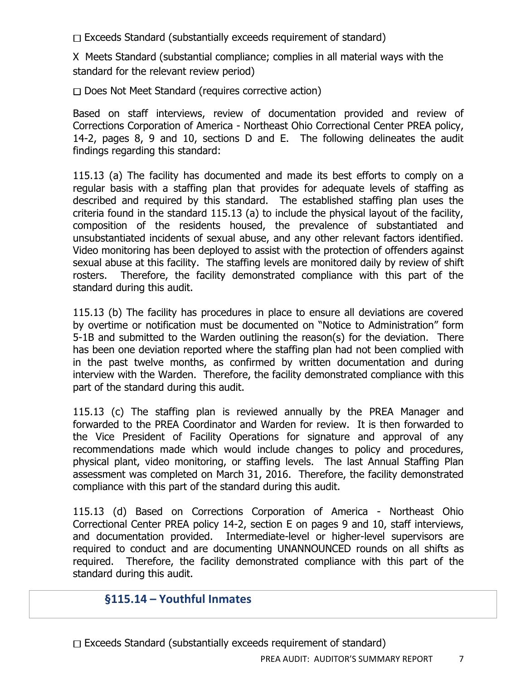$\Box$  Exceeds Standard (substantially exceeds requirement of standard)

X Meets Standard (substantial compliance; complies in all material ways with the standard for the relevant review period)

 $\Box$  Does Not Meet Standard (requires corrective action)

Based on staff interviews, review of documentation provided and review of Corrections Corporation of America - Northeast Ohio Correctional Center PREA policy, 14-2, pages 8, 9 and 10, sections D and E. The following delineates the audit findings regarding this standard:

115.13 (a) The facility has documented and made its best efforts to comply on a regular basis with a staffing plan that provides for adequate levels of staffing as described and required by this standard. The established staffing plan uses the criteria found in the standard 115.13 (a) to include the physical layout of the facility, composition of the residents housed, the prevalence of substantiated and unsubstantiated incidents of sexual abuse, and any other relevant factors identified. Video monitoring has been deployed to assist with the protection of offenders against sexual abuse at this facility. The staffing levels are monitored daily by review of shift rosters. Therefore, the facility demonstrated compliance with this part of the standard during this audit.

115.13 (b) The facility has procedures in place to ensure all deviations are covered by overtime or notification must be documented on "Notice to Administration" form 5-1B and submitted to the Warden outlining the reason(s) for the deviation. There has been one deviation reported where the staffing plan had not been complied with in the past twelve months, as confirmed by written documentation and during interview with the Warden. Therefore, the facility demonstrated compliance with this part of the standard during this audit.

115.13 (c) The staffing plan is reviewed annually by the PREA Manager and forwarded to the PREA Coordinator and Warden for review. It is then forwarded to the Vice President of Facility Operations for signature and approval of any recommendations made which would include changes to policy and procedures, physical plant, video monitoring, or staffing levels. The last Annual Staffing Plan assessment was completed on March 31, 2016. Therefore, the facility demonstrated compliance with this part of the standard during this audit.

115.13 (d) Based on Corrections Corporation of America - Northeast Ohio Correctional Center PREA policy 14-2, section E on pages 9 and 10, staff interviews, and documentation provided. Intermediate-level or higher-level supervisors are required to conduct and are documenting UNANNOUNCED rounds on all shifts as required. Therefore, the facility demonstrated compliance with this part of the standard during this audit.

## **§115.14 – Youthful Inmates**

 $\Box$  Exceeds Standard (substantially exceeds requirement of standard)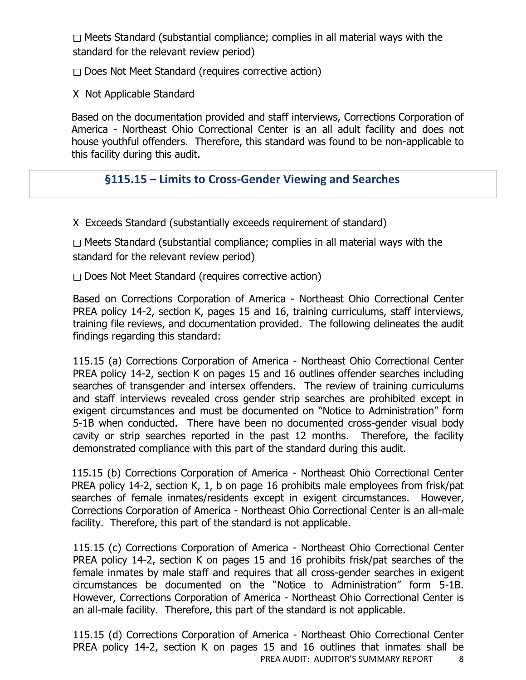$\Box$  Meets Standard (substantial compliance; complies in all material ways with the standard for the relevant review period)

 $\Box$  Does Not Meet Standard (requires corrective action)

X Not Applicable Standard

Based on the documentation provided and staff interviews, Corrections Corporation of America - Northeast Ohio Correctional Center is an all adult facility and does not house youthful offenders. Therefore, this standard was found to be non-applicable to this facility during this audit.

# **§115.15 – Limits to Cross-Gender Viewing and Searches**

X Exceeds Standard (substantially exceeds requirement of standard)

 $\Box$  Meets Standard (substantial compliance; complies in all material ways with the standard for the relevant review period)

 $\Box$  Does Not Meet Standard (requires corrective action)

Based on Corrections Corporation of America - Northeast Ohio Correctional Center PREA policy 14-2, section K, pages 15 and 16, training curriculums, staff interviews, training file reviews, and documentation provided. The following delineates the audit findings regarding this standard:

115.15 (a) Corrections Corporation of America - Northeast Ohio Correctional Center PREA policy 14-2, section K on pages 15 and 16 outlines offender searches including searches of transgender and intersex offenders. The review of training curriculums and staff interviews revealed cross gender strip searches are prohibited except in exigent circumstances and must be documented on "Notice to Administration" form 5-1B when conducted. There have been no documented cross-gender visual body cavity or strip searches reported in the past 12 months. Therefore, the facility demonstrated compliance with this part of the standard during this audit.

115.15 (b) Corrections Corporation of America - Northeast Ohio Correctional Center PREA policy 14-2, section K, 1, b on page 16 prohibits male employees from frisk/pat searches of female inmates/residents except in exigent circumstances. However, Corrections Corporation of America - Northeast Ohio Correctional Center is an all-male facility. Therefore, this part of the standard is not applicable.

115.15 (c) Corrections Corporation of America - Northeast Ohio Correctional Center PREA policy 14-2, section K on pages 15 and 16 prohibits frisk/pat searches of the female inmates by male staff and requires that all cross-gender searches in exigent circumstances be documented on the "Notice to Administration" form 5-1B. However, Corrections Corporation of America - Northeast Ohio Correctional Center is an all-male facility. Therefore, this part of the standard is not applicable.

PREA AUDIT: AUDITOR'S SUMMARY REPORT 8 115.15 (d) Corrections Corporation of America - Northeast Ohio Correctional Center PREA policy 14-2, section K on pages 15 and 16 outlines that inmates shall be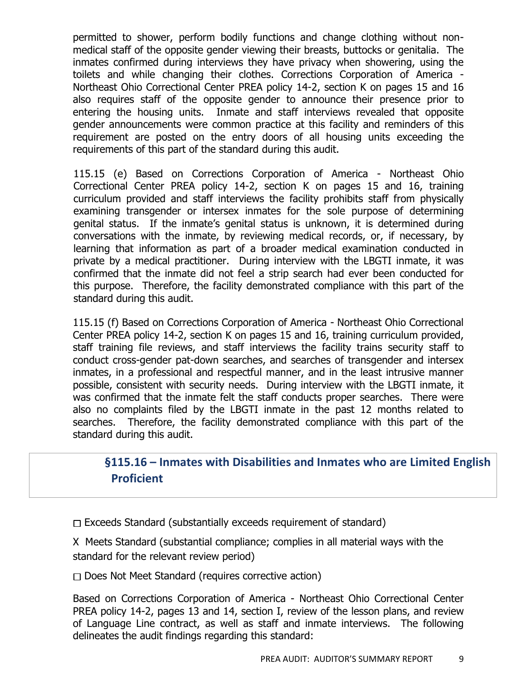permitted to shower, perform bodily functions and change clothing without nonmedical staff of the opposite gender viewing their breasts, buttocks or genitalia. The inmates confirmed during interviews they have privacy when showering, using the toilets and while changing their clothes. Corrections Corporation of America - Northeast Ohio Correctional Center PREA policy 14-2, section K on pages 15 and 16 also requires staff of the opposite gender to announce their presence prior to entering the housing units. Inmate and staff interviews revealed that opposite gender announcements were common practice at this facility and reminders of this requirement are posted on the entry doors of all housing units exceeding the requirements of this part of the standard during this audit.

115.15 (e) Based on Corrections Corporation of America - Northeast Ohio Correctional Center PREA policy 14-2, section K on pages 15 and 16, training curriculum provided and staff interviews the facility prohibits staff from physically examining transgender or intersex inmates for the sole purpose of determining genital status. If the inmate's genital status is unknown, it is determined during conversations with the inmate, by reviewing medical records, or, if necessary, by learning that information as part of a broader medical examination conducted in private by a medical practitioner. During interview with the LBGTI inmate, it was confirmed that the inmate did not feel a strip search had ever been conducted for this purpose. Therefore, the facility demonstrated compliance with this part of the standard during this audit.

115.15 (f) Based on Corrections Corporation of America - Northeast Ohio Correctional Center PREA policy 14-2, section K on pages 15 and 16, training curriculum provided, staff training file reviews, and staff interviews the facility trains security staff to conduct cross-gender pat-down searches, and searches of transgender and intersex inmates, in a professional and respectful manner, and in the least intrusive manner possible, consistent with security needs. During interview with the LBGTI inmate, it was confirmed that the inmate felt the staff conducts proper searches. There were also no complaints filed by the LBGTI inmate in the past 12 months related to searches. Therefore, the facility demonstrated compliance with this part of the standard during this audit.

## **§115.16 – Inmates with Disabilities and Inmates who are Limited English Proficient**

 $\Box$  Exceeds Standard (substantially exceeds requirement of standard)

X Meets Standard (substantial compliance; complies in all material ways with the standard for the relevant review period)

 $\Box$  Does Not Meet Standard (requires corrective action)

Based on Corrections Corporation of America - Northeast Ohio Correctional Center PREA policy 14-2, pages 13 and 14, section I, review of the lesson plans, and review of Language Line contract, as well as staff and inmate interviews. The following delineates the audit findings regarding this standard: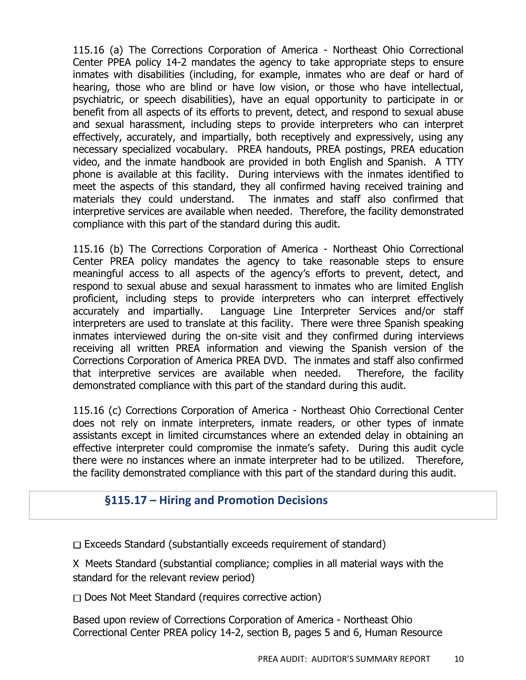115.16 (a) The Corrections Corporation of America - Northeast Ohio Correctional Center PPEA policy 14-2 mandates the agency to take appropriate steps to ensure inmates with disabilities (including, for example, inmates who are deaf or hard of hearing, those who are blind or have low vision, or those who have intellectual, psychiatric, or speech disabilities), have an equal opportunity to participate in or benefit from all aspects of its efforts to prevent, detect, and respond to sexual abuse and sexual harassment, including steps to provide interpreters who can interpret effectively, accurately, and impartially, both receptively and expressively, using any necessary specialized vocabulary. PREA handouts, PREA postings, PREA education video, and the inmate handbook are provided in both English and Spanish. A TTY phone is available at this facility. During interviews with the inmates identified to meet the aspects of this standard, they all confirmed having received training and materials they could understand. The inmates and staff also confirmed that interpretive services are available when needed. Therefore, the facility demonstrated compliance with this part of the standard during this audit.

115.16 (b) The Corrections Corporation of America - Northeast Ohio Correctional Center PREA policy mandates the agency to take reasonable steps to ensure meaningful access to all aspects of the agency's efforts to prevent, detect, and respond to sexual abuse and sexual harassment to inmates who are limited English proficient, including steps to provide interpreters who can interpret effectively accurately and impartially. Language Line Interpreter Services and/or staff interpreters are used to translate at this facility. There were three Spanish speaking inmates interviewed during the on-site visit and they confirmed during interviews receiving all written PREA information and viewing the Spanish version of the Corrections Corporation of America PREA DVD. The inmates and staff also confirmed that interpretive services are available when needed. Therefore, the facility demonstrated compliance with this part of the standard during this audit.

115.16 (c) Corrections Corporation of America - Northeast Ohio Correctional Center does not rely on inmate interpreters, inmate readers, or other types of inmate assistants except in limited circumstances where an extended delay in obtaining an effective interpreter could compromise the inmate's safety. During this audit cycle there were no instances where an inmate interpreter had to be utilized. Therefore, the facility demonstrated compliance with this part of the standard during this audit.

#### **§115.17 – Hiring and Promotion Decisions**

 $\Box$  Exceeds Standard (substantially exceeds requirement of standard)

X Meets Standard (substantial compliance; complies in all material ways with the standard for the relevant review period)

 $\Box$  Does Not Meet Standard (requires corrective action)

Based upon review of Corrections Corporation of America - Northeast Ohio Correctional Center PREA policy 14-2, section B, pages 5 and 6, Human Resource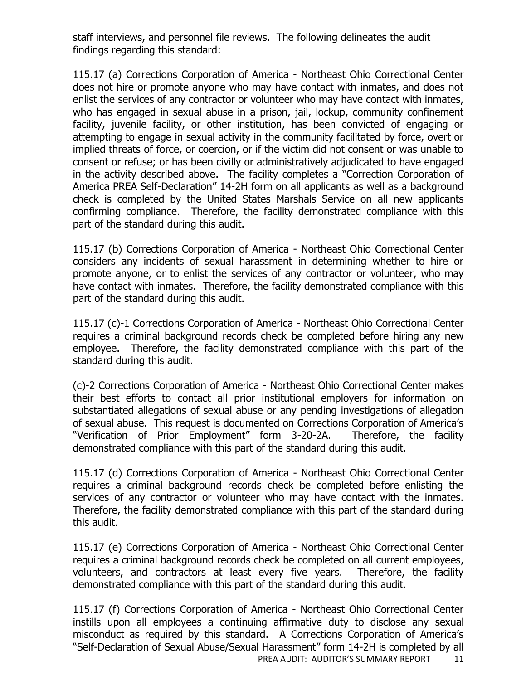staff interviews, and personnel file reviews. The following delineates the audit findings regarding this standard:

115.17 (a) Corrections Corporation of America - Northeast Ohio Correctional Center does not hire or promote anyone who may have contact with inmates, and does not enlist the services of any contractor or volunteer who may have contact with inmates, who has engaged in sexual abuse in a prison, jail, lockup, community confinement facility, juvenile facility, or other institution, has been convicted of engaging or attempting to engage in sexual activity in the community facilitated by force, overt or implied threats of force, or coercion, or if the victim did not consent or was unable to consent or refuse; or has been civilly or administratively adjudicated to have engaged in the activity described above. The facility completes a "Correction Corporation of America PREA Self-Declaration" 14-2H form on all applicants as well as a background check is completed by the United States Marshals Service on all new applicants confirming compliance. Therefore, the facility demonstrated compliance with this part of the standard during this audit.

115.17 (b) Corrections Corporation of America - Northeast Ohio Correctional Center considers any incidents of sexual harassment in determining whether to hire or promote anyone, or to enlist the services of any contractor or volunteer, who may have contact with inmates. Therefore, the facility demonstrated compliance with this part of the standard during this audit.

115.17 (c)-1 Corrections Corporation of America - Northeast Ohio Correctional Center requires a criminal background records check be completed before hiring any new employee. Therefore, the facility demonstrated compliance with this part of the standard during this audit.

(c)-2 Corrections Corporation of America - Northeast Ohio Correctional Center makes their best efforts to contact all prior institutional employers for information on substantiated allegations of sexual abuse or any pending investigations of allegation of sexual abuse. This request is documented on Corrections Corporation of America's "Verification of Prior Employment" form 3-20-2A. Therefore, the facility demonstrated compliance with this part of the standard during this audit.

115.17 (d) Corrections Corporation of America - Northeast Ohio Correctional Center requires a criminal background records check be completed before enlisting the services of any contractor or volunteer who may have contact with the inmates. Therefore, the facility demonstrated compliance with this part of the standard during this audit.

115.17 (e) Corrections Corporation of America - Northeast Ohio Correctional Center requires a criminal background records check be completed on all current employees, volunteers, and contractors at least every five years. Therefore, the facility demonstrated compliance with this part of the standard during this audit.

PREA AUDIT: AUDITOR'S SUMMARY REPORT 11 115.17 (f) Corrections Corporation of America - Northeast Ohio Correctional Center instills upon all employees a continuing affirmative duty to disclose any sexual misconduct as required by this standard. A Corrections Corporation of America's "Self-Declaration of Sexual Abuse/Sexual Harassment" form 14-2H is completed by all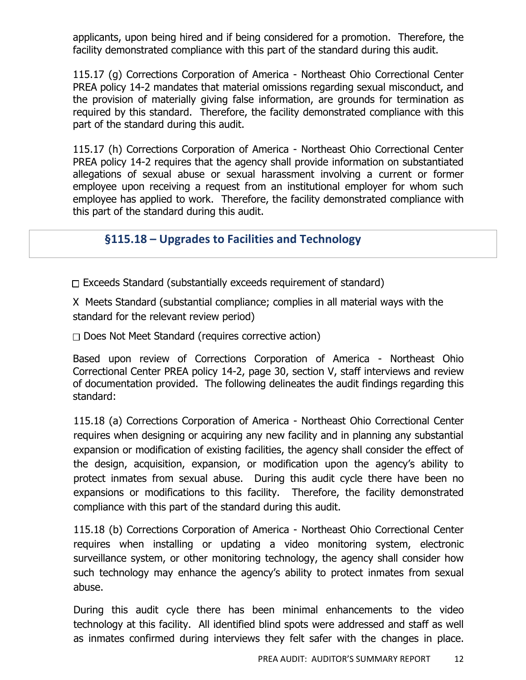applicants, upon being hired and if being considered for a promotion. Therefore, the facility demonstrated compliance with this part of the standard during this audit.

115.17 (g) Corrections Corporation of America - Northeast Ohio Correctional Center PREA policy 14-2 mandates that material omissions regarding sexual misconduct, and the provision of materially giving false information, are grounds for termination as required by this standard. Therefore, the facility demonstrated compliance with this part of the standard during this audit.

115.17 (h) Corrections Corporation of America - Northeast Ohio Correctional Center PREA policy 14-2 requires that the agency shall provide information on substantiated allegations of sexual abuse or sexual harassment involving a current or former employee upon receiving a request from an institutional employer for whom such employee has applied to work. Therefore, the facility demonstrated compliance with this part of the standard during this audit.

#### **§115.18 – Upgrades to Facilities and Technology**

 $\Box$  Exceeds Standard (substantially exceeds requirement of standard)

X Meets Standard (substantial compliance; complies in all material ways with the standard for the relevant review period)

 $\Box$  Does Not Meet Standard (requires corrective action)

Based upon review of Corrections Corporation of America - Northeast Ohio Correctional Center PREA policy 14-2, page 30, section V, staff interviews and review of documentation provided. The following delineates the audit findings regarding this standard:

115.18 (a) Corrections Corporation of America - Northeast Ohio Correctional Center requires when designing or acquiring any new facility and in planning any substantial expansion or modification of existing facilities, the agency shall consider the effect of the design, acquisition, expansion, or modification upon the agency's ability to protect inmates from sexual abuse. During this audit cycle there have been no expansions or modifications to this facility. Therefore, the facility demonstrated compliance with this part of the standard during this audit.

115.18 (b) Corrections Corporation of America - Northeast Ohio Correctional Center requires when installing or updating a video monitoring system, electronic surveillance system, or other monitoring technology, the agency shall consider how such technology may enhance the agency's ability to protect inmates from sexual abuse.

During this audit cycle there has been minimal enhancements to the video technology at this facility. All identified blind spots were addressed and staff as well as inmates confirmed during interviews they felt safer with the changes in place.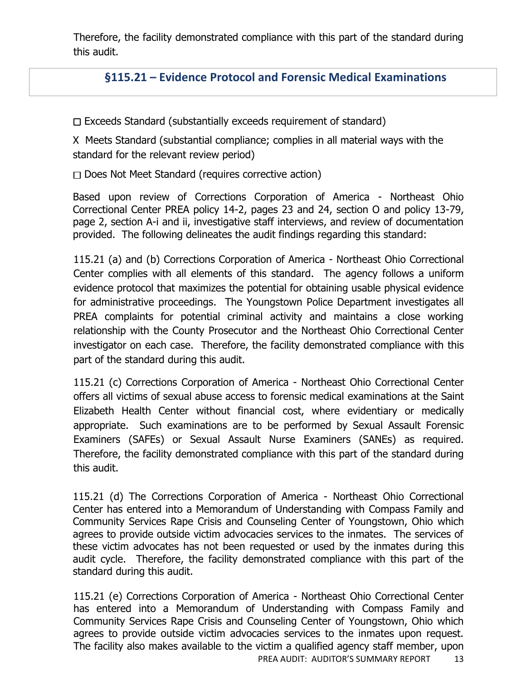Therefore, the facility demonstrated compliance with this part of the standard during this audit.

## **§115.21 – Evidence Protocol and Forensic Medical Examinations**

 $\Box$  Exceeds Standard (substantially exceeds requirement of standard)

X Meets Standard (substantial compliance; complies in all material ways with the standard for the relevant review period)

 $\Box$  Does Not Meet Standard (requires corrective action)

Based upon review of Corrections Corporation of America - Northeast Ohio Correctional Center PREA policy 14-2, pages 23 and 24, section O and policy 13-79, page 2, section A-i and ii, investigative staff interviews, and review of documentation provided. The following delineates the audit findings regarding this standard:

115.21 (a) and (b) Corrections Corporation of America - Northeast Ohio Correctional Center complies with all elements of this standard. The agency follows a uniform evidence protocol that maximizes the potential for obtaining usable physical evidence for administrative proceedings. The Youngstown Police Department investigates all PREA complaints for potential criminal activity and maintains a close working relationship with the County Prosecutor and the Northeast Ohio Correctional Center investigator on each case. Therefore, the facility demonstrated compliance with this part of the standard during this audit.

115.21 (c) Corrections Corporation of America - Northeast Ohio Correctional Center offers all victims of sexual abuse access to forensic medical examinations at the Saint Elizabeth Health Center without financial cost, where evidentiary or medically appropriate. Such examinations are to be performed by Sexual Assault Forensic Examiners (SAFEs) or Sexual Assault Nurse Examiners (SANEs) as required. Therefore, the facility demonstrated compliance with this part of the standard during this audit.

115.21 (d) The Corrections Corporation of America - Northeast Ohio Correctional Center has entered into a Memorandum of Understanding with Compass Family and Community Services Rape Crisis and Counseling Center of Youngstown, Ohio which agrees to provide outside victim advocacies services to the inmates. The services of these victim advocates has not been requested or used by the inmates during this audit cycle. Therefore, the facility demonstrated compliance with this part of the standard during this audit.

115.21 (e) Corrections Corporation of America - Northeast Ohio Correctional Center has entered into a Memorandum of Understanding with Compass Family and Community Services Rape Crisis and Counseling Center of Youngstown, Ohio which agrees to provide outside victim advocacies services to the inmates upon request. The facility also makes available to the victim a qualified agency staff member, upon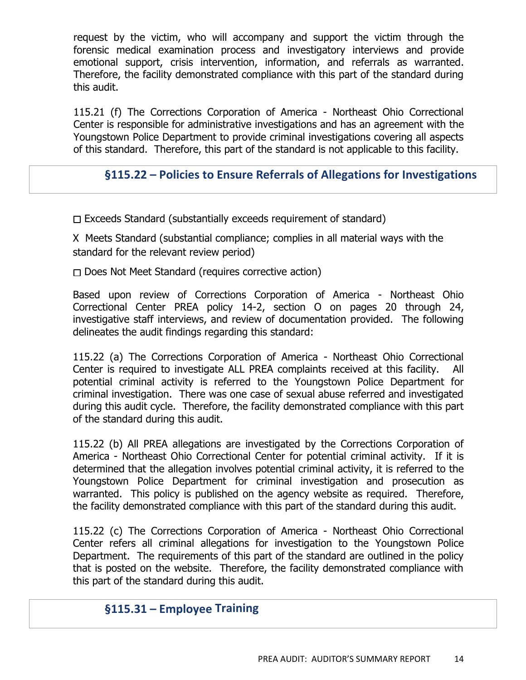request by the victim, who will accompany and support the victim through the forensic medical examination process and investigatory interviews and provide emotional support, crisis intervention, information, and referrals as warranted. Therefore, the facility demonstrated compliance with this part of the standard during this audit.

115.21 (f) The Corrections Corporation of America - Northeast Ohio Correctional Center is responsible for administrative investigations and has an agreement with the Youngstown Police Department to provide criminal investigations covering all aspects of this standard. Therefore, this part of the standard is not applicable to this facility.

## **§115.22 – Policies to Ensure Referrals of Allegations for Investigations**

 $\Box$  Exceeds Standard (substantially exceeds requirement of standard)

X Meets Standard (substantial compliance; complies in all material ways with the standard for the relevant review period)

 $\Box$  Does Not Meet Standard (requires corrective action)

Based upon review of Corrections Corporation of America - Northeast Ohio Correctional Center PREA policy 14-2, section O on pages 20 through 24, investigative staff interviews, and review of documentation provided. The following delineates the audit findings regarding this standard:

115.22 (a) The Corrections Corporation of America - Northeast Ohio Correctional Center is required to investigate ALL PREA complaints received at this facility. All potential criminal activity is referred to the Youngstown Police Department for criminal investigation. There was one case of sexual abuse referred and investigated during this audit cycle. Therefore, the facility demonstrated compliance with this part of the standard during this audit.

115.22 (b) All PREA allegations are investigated by the Corrections Corporation of America - Northeast Ohio Correctional Center for potential criminal activity. If it is determined that the allegation involves potential criminal activity, it is referred to the Youngstown Police Department for criminal investigation and prosecution as warranted. This policy is published on the agency website as required. Therefore, the facility demonstrated compliance with this part of the standard during this audit.

115.22 (c) The Corrections Corporation of America - Northeast Ohio Correctional Center refers all criminal allegations for investigation to the Youngstown Police Department. The requirements of this part of the standard are outlined in the policy that is posted on the website. Therefore, the facility demonstrated compliance with this part of the standard during this audit.

## **§115.31 – Employee Training**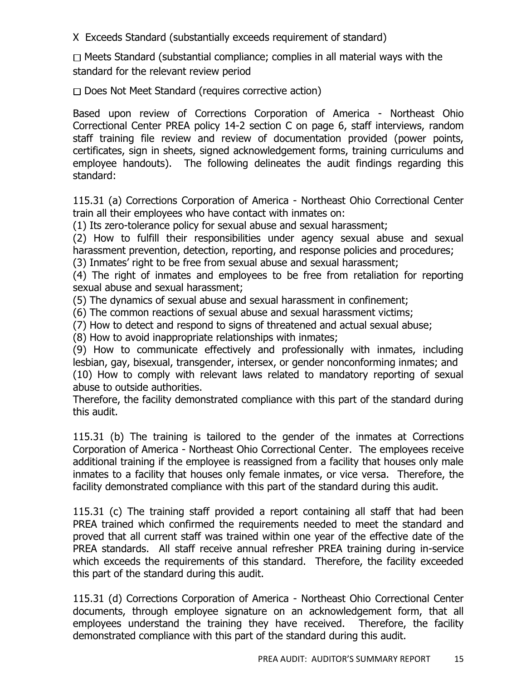X Exceeds Standard (substantially exceeds requirement of standard)

 $\Box$  Meets Standard (substantial compliance; complies in all material ways with the standard for the relevant review period

 $\Box$  Does Not Meet Standard (requires corrective action)

Based upon review of Corrections Corporation of America - Northeast Ohio Correctional Center PREA policy 14-2 section C on page 6, staff interviews, random staff training file review and review of documentation provided (power points, certificates, sign in sheets, signed acknowledgement forms, training curriculums and employee handouts). The following delineates the audit findings regarding this standard:

115.31 (a) Corrections Corporation of America - Northeast Ohio Correctional Center train all their employees who have contact with inmates on:

(1) Its zero-tolerance policy for sexual abuse and sexual harassment;

(2) How to fulfill their responsibilities under agency sexual abuse and sexual harassment prevention, detection, reporting, and response policies and procedures;

(3) Inmates' right to be free from sexual abuse and sexual harassment;

(4) The right of inmates and employees to be free from retaliation for reporting sexual abuse and sexual harassment;

(5) The dynamics of sexual abuse and sexual harassment in confinement;

(6) The common reactions of sexual abuse and sexual harassment victims;

(7) How to detect and respond to signs of threatened and actual sexual abuse;

(8) How to avoid inappropriate relationships with inmates;

(9) How to communicate effectively and professionally with inmates, including lesbian, gay, bisexual, transgender, intersex, or gender nonconforming inmates; and

(10) How to comply with relevant laws related to mandatory reporting of sexual abuse to outside authorities.

Therefore, the facility demonstrated compliance with this part of the standard during this audit.

115.31 (b) The training is tailored to the gender of the inmates at Corrections Corporation of America - Northeast Ohio Correctional Center. The employees receive additional training if the employee is reassigned from a facility that houses only male inmates to a facility that houses only female inmates, or vice versa. Therefore, the facility demonstrated compliance with this part of the standard during this audit.

115.31 (c) The training staff provided a report containing all staff that had been PREA trained which confirmed the requirements needed to meet the standard and proved that all current staff was trained within one year of the effective date of the PREA standards. All staff receive annual refresher PREA training during in-service which exceeds the requirements of this standard. Therefore, the facility exceeded this part of the standard during this audit.

115.31 (d) Corrections Corporation of America - Northeast Ohio Correctional Center documents, through employee signature on an acknowledgement form, that all employees understand the training they have received. Therefore, the facility demonstrated compliance with this part of the standard during this audit.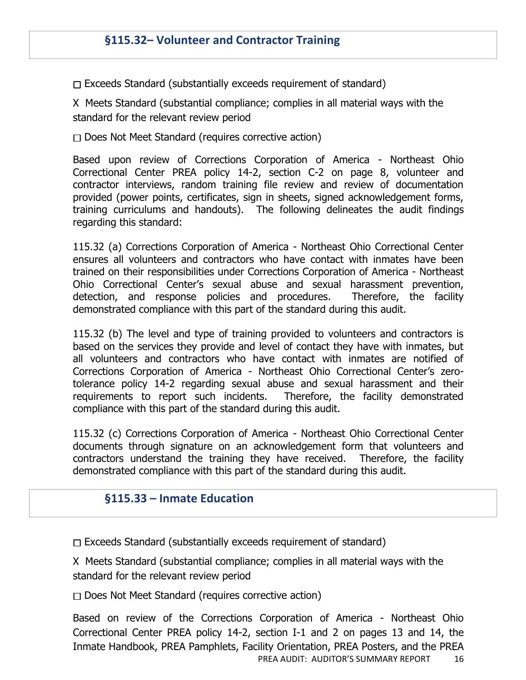$\Box$  Exceeds Standard (substantially exceeds requirement of standard)

X Meets Standard (substantial compliance; complies in all material ways with the standard for the relevant review period

 $\Box$  Does Not Meet Standard (requires corrective action)

Based upon review of Corrections Corporation of America - Northeast Ohio Correctional Center PREA policy 14-2, section C-2 on page 8, volunteer and contractor interviews, random training file review and review of documentation provided (power points, certificates, sign in sheets, signed acknowledgement forms, training curriculums and handouts). The following delineates the audit findings regarding this standard:

115.32 (a) Corrections Corporation of America - Northeast Ohio Correctional Center ensures all volunteers and contractors who have contact with inmates have been trained on their responsibilities under Corrections Corporation of America - Northeast Ohio Correctional Center's sexual abuse and sexual harassment prevention, detection, and response policies and procedures. Therefore, the facility demonstrated compliance with this part of the standard during this audit.

115.32 (b) The level and type of training provided to volunteers and contractors is based on the services they provide and level of contact they have with inmates, but all volunteers and contractors who have contact with inmates are notified of Corrections Corporation of America - Northeast Ohio Correctional Center's zerotolerance policy 14-2 regarding sexual abuse and sexual harassment and their requirements to report such incidents. Therefore, the facility demonstrated compliance with this part of the standard during this audit.

115.32 (c) Corrections Corporation of America - Northeast Ohio Correctional Center documents through signature on an acknowledgement form that volunteers and contractors understand the training they have received. Therefore, the facility demonstrated compliance with this part of the standard during this audit.

#### **§115.33 – Inmate Education**

 $\Box$  Exceeds Standard (substantially exceeds requirement of standard)

X Meets Standard (substantial compliance; complies in all material ways with the standard for the relevant review period

 $\Box$  Does Not Meet Standard (requires corrective action)

PREA AUDIT: AUDITOR'S SUMMARY REPORT 16 Based on review of the Corrections Corporation of America - Northeast Ohio Correctional Center PREA policy 14-2, section I-1 and 2 on pages 13 and 14, the Inmate Handbook, PREA Pamphlets, Facility Orientation, PREA Posters, and the PREA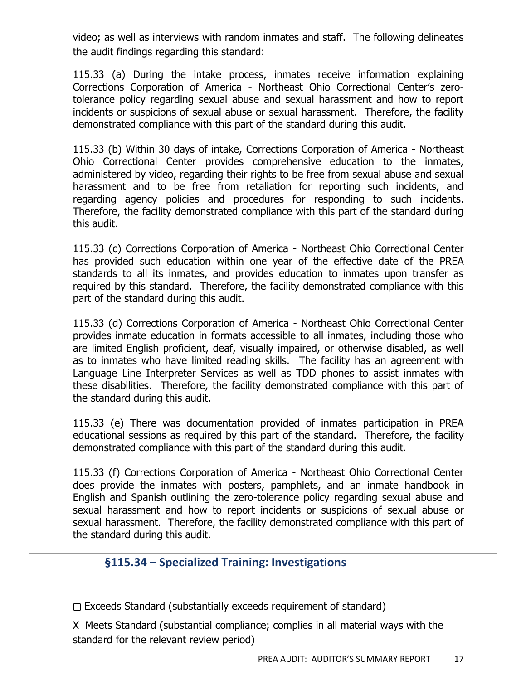video; as well as interviews with random inmates and staff. The following delineates the audit findings regarding this standard:

115.33 (a) During the intake process, inmates receive information explaining Corrections Corporation of America - Northeast Ohio Correctional Center's zerotolerance policy regarding sexual abuse and sexual harassment and how to report incidents or suspicions of sexual abuse or sexual harassment. Therefore, the facility demonstrated compliance with this part of the standard during this audit.

115.33 (b) Within 30 days of intake, Corrections Corporation of America - Northeast Ohio Correctional Center provides comprehensive education to the inmates, administered by video, regarding their rights to be free from sexual abuse and sexual harassment and to be free from retaliation for reporting such incidents, and regarding agency policies and procedures for responding to such incidents. Therefore, the facility demonstrated compliance with this part of the standard during this audit.

115.33 (c) Corrections Corporation of America - Northeast Ohio Correctional Center has provided such education within one year of the effective date of the PREA standards to all its inmates, and provides education to inmates upon transfer as required by this standard. Therefore, the facility demonstrated compliance with this part of the standard during this audit.

115.33 (d) Corrections Corporation of America - Northeast Ohio Correctional Center provides inmate education in formats accessible to all inmates, including those who are limited English proficient, deaf, visually impaired, or otherwise disabled, as well as to inmates who have limited reading skills. The facility has an agreement with Language Line Interpreter Services as well as TDD phones to assist inmates with these disabilities. Therefore, the facility demonstrated compliance with this part of the standard during this audit.

115.33 (e) There was documentation provided of inmates participation in PREA educational sessions as required by this part of the standard. Therefore, the facility demonstrated compliance with this part of the standard during this audit.

115.33 (f) Corrections Corporation of America - Northeast Ohio Correctional Center does provide the inmates with posters, pamphlets, and an inmate handbook in English and Spanish outlining the zero-tolerance policy regarding sexual abuse and sexual harassment and how to report incidents or suspicions of sexual abuse or sexual harassment. Therefore, the facility demonstrated compliance with this part of the standard during this audit.

#### **§115.34 – Specialized Training: Investigations**

 $\Box$  Exceeds Standard (substantially exceeds requirement of standard)

X Meets Standard (substantial compliance; complies in all material ways with the standard for the relevant review period)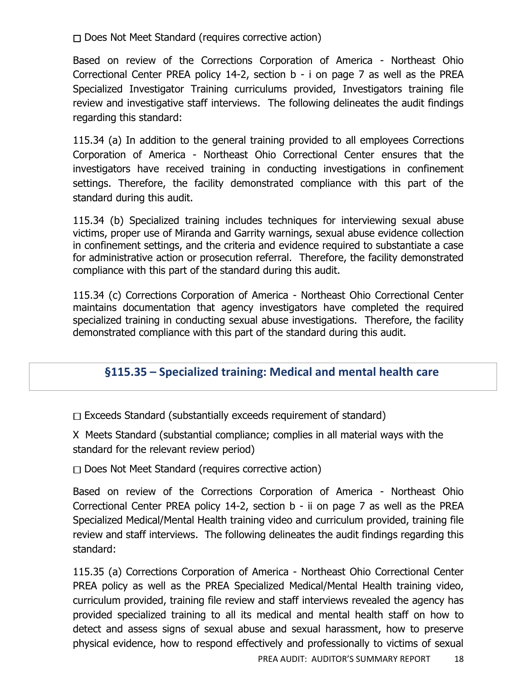$\Box$  Does Not Meet Standard (requires corrective action)

Based on review of the Corrections Corporation of America - Northeast Ohio Correctional Center PREA policy 14-2, section b - i on page 7 as well as the PREA Specialized Investigator Training curriculums provided, Investigators training file review and investigative staff interviews. The following delineates the audit findings regarding this standard:

115.34 (a) In addition to the general training provided to all employees Corrections Corporation of America - Northeast Ohio Correctional Center ensures that the investigators have received training in conducting investigations in confinement settings. Therefore, the facility demonstrated compliance with this part of the standard during this audit.

115.34 (b) Specialized training includes techniques for interviewing sexual abuse victims, proper use of Miranda and Garrity warnings, sexual abuse evidence collection in confinement settings, and the criteria and evidence required to substantiate a case for administrative action or prosecution referral. Therefore, the facility demonstrated compliance with this part of the standard during this audit.

115.34 (c) Corrections Corporation of America - Northeast Ohio Correctional Center maintains documentation that agency investigators have completed the required specialized training in conducting sexual abuse investigations. Therefore, the facility demonstrated compliance with this part of the standard during this audit.

#### **§115.35 – Specialized training: Medical and mental health care**

 $\Box$  Exceeds Standard (substantially exceeds requirement of standard)

X Meets Standard (substantial compliance; complies in all material ways with the standard for the relevant review period)

 $\Box$  Does Not Meet Standard (requires corrective action)

Based on review of the Corrections Corporation of America - Northeast Ohio Correctional Center PREA policy 14-2, section b - ii on page 7 as well as the PREA Specialized Medical/Mental Health training video and curriculum provided, training file review and staff interviews. The following delineates the audit findings regarding this standard:

115.35 (a) Corrections Corporation of America - Northeast Ohio Correctional Center PREA policy as well as the PREA Specialized Medical/Mental Health training video, curriculum provided, training file review and staff interviews revealed the agency has provided specialized training to all its medical and mental health staff on how to detect and assess signs of sexual abuse and sexual harassment, how to preserve physical evidence, how to respond effectively and professionally to victims of sexual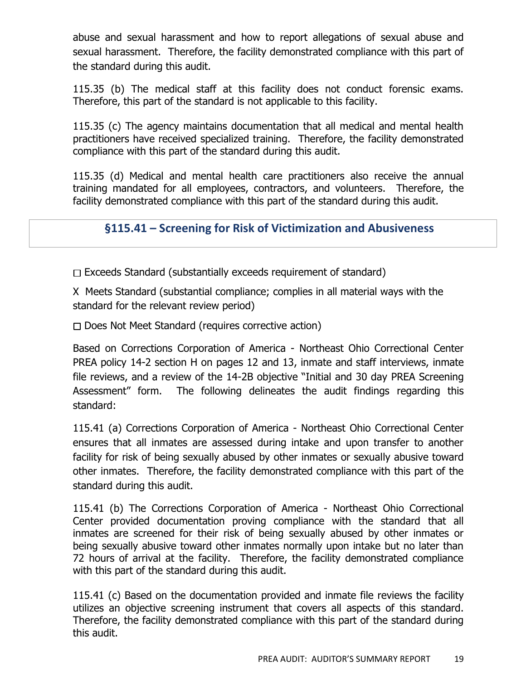abuse and sexual harassment and how to report allegations of sexual abuse and sexual harassment. Therefore, the facility demonstrated compliance with this part of the standard during this audit.

115.35 (b) The medical staff at this facility does not conduct forensic exams. Therefore, this part of the standard is not applicable to this facility.

115.35 (c) The agency maintains documentation that all medical and mental health practitioners have received specialized training. Therefore, the facility demonstrated compliance with this part of the standard during this audit.

115.35 (d) Medical and mental health care practitioners also receive the annual training mandated for all employees, contractors, and volunteers. Therefore, the facility demonstrated compliance with this part of the standard during this audit.

## **§115.41 – Screening for Risk of Victimization and Abusiveness**

 $\Box$  Exceeds Standard (substantially exceeds requirement of standard)

X Meets Standard (substantial compliance; complies in all material ways with the standard for the relevant review period)

 $\Box$  Does Not Meet Standard (requires corrective action)

Based on Corrections Corporation of America - Northeast Ohio Correctional Center PREA policy 14-2 section H on pages 12 and 13, inmate and staff interviews, inmate file reviews, and a review of the 14-2B objective "Initial and 30 day PREA Screening Assessment" form. The following delineates the audit findings regarding this standard:

115.41 (a) Corrections Corporation of America - Northeast Ohio Correctional Center ensures that all inmates are assessed during intake and upon transfer to another facility for risk of being sexually abused by other inmates or sexually abusive toward other inmates. Therefore, the facility demonstrated compliance with this part of the standard during this audit.

115.41 (b) The Corrections Corporation of America - Northeast Ohio Correctional Center provided documentation proving compliance with the standard that all inmates are screened for their risk of being sexually abused by other inmates or being sexually abusive toward other inmates normally upon intake but no later than 72 hours of arrival at the facility. Therefore, the facility demonstrated compliance with this part of the standard during this audit.

115.41 (c) Based on the documentation provided and inmate file reviews the facility utilizes an objective screening instrument that covers all aspects of this standard. Therefore, the facility demonstrated compliance with this part of the standard during this audit.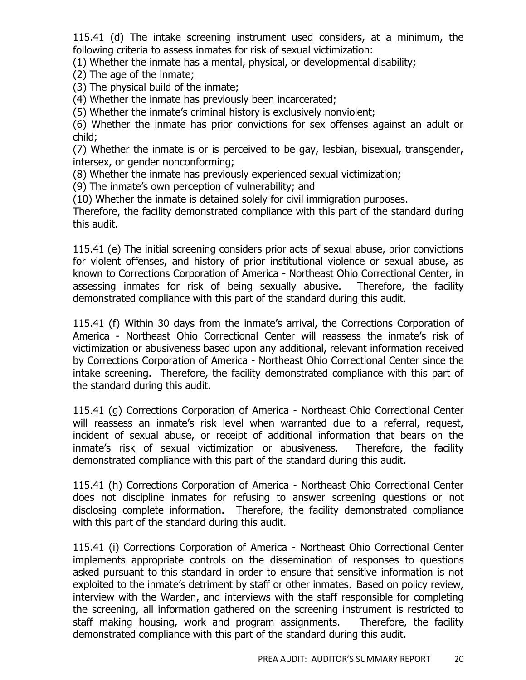115.41 (d) The intake screening instrument used considers, at a minimum, the following criteria to assess inmates for risk of sexual victimization:

(1) Whether the inmate has a mental, physical, or developmental disability;

(2) The age of the inmate;

(3) The physical build of the inmate;

(4) Whether the inmate has previously been incarcerated;

(5) Whether the inmate's criminal history is exclusively nonviolent;

(6) Whether the inmate has prior convictions for sex offenses against an adult or child;

(7) Whether the inmate is or is perceived to be gay, lesbian, bisexual, transgender, intersex, or gender nonconforming;

(8) Whether the inmate has previously experienced sexual victimization;

(9) The inmate's own perception of vulnerability; and

(10) Whether the inmate is detained solely for civil immigration purposes.

Therefore, the facility demonstrated compliance with this part of the standard during this audit.

115.41 (e) The initial screening considers prior acts of sexual abuse, prior convictions for violent offenses, and history of prior institutional violence or sexual abuse, as known to Corrections Corporation of America - Northeast Ohio Correctional Center, in assessing inmates for risk of being sexually abusive. Therefore, the facility demonstrated compliance with this part of the standard during this audit.

115.41 (f) Within 30 days from the inmate's arrival, the Corrections Corporation of America - Northeast Ohio Correctional Center will reassess the inmate's risk of victimization or abusiveness based upon any additional, relevant information received by Corrections Corporation of America - Northeast Ohio Correctional Center since the intake screening. Therefore, the facility demonstrated compliance with this part of the standard during this audit.

115.41 (g) Corrections Corporation of America - Northeast Ohio Correctional Center will reassess an inmate's risk level when warranted due to a referral, request, incident of sexual abuse, or receipt of additional information that bears on the inmate's risk of sexual victimization or abusiveness. Therefore, the facility demonstrated compliance with this part of the standard during this audit.

115.41 (h) Corrections Corporation of America - Northeast Ohio Correctional Center does not discipline inmates for refusing to answer screening questions or not disclosing complete information. Therefore, the facility demonstrated compliance with this part of the standard during this audit.

115.41 (i) Corrections Corporation of America - Northeast Ohio Correctional Center implements appropriate controls on the dissemination of responses to questions asked pursuant to this standard in order to ensure that sensitive information is not exploited to the inmate's detriment by staff or other inmates. Based on policy review, interview with the Warden, and interviews with the staff responsible for completing the screening, all information gathered on the screening instrument is restricted to staff making housing, work and program assignments. Therefore, the facility demonstrated compliance with this part of the standard during this audit.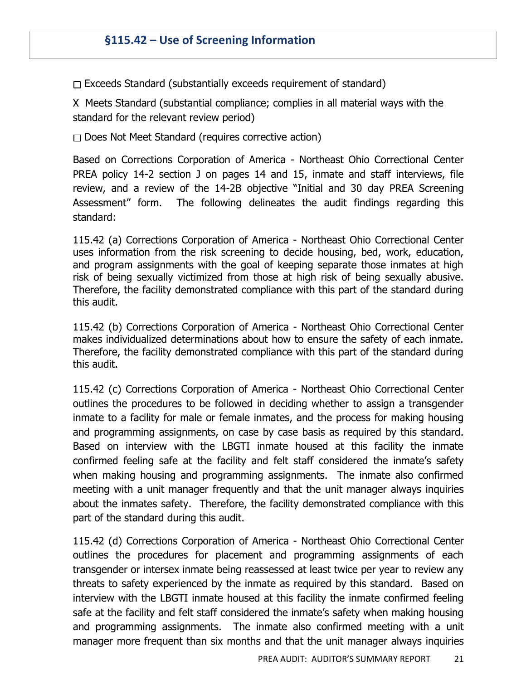$\Box$  Exceeds Standard (substantially exceeds requirement of standard)

X Meets Standard (substantial compliance; complies in all material ways with the standard for the relevant review period)

 $\Box$  Does Not Meet Standard (requires corrective action)

Based on Corrections Corporation of America - Northeast Ohio Correctional Center PREA policy 14-2 section J on pages 14 and 15, inmate and staff interviews, file review, and a review of the 14-2B objective "Initial and 30 day PREA Screening Assessment" form. The following delineates the audit findings regarding this standard:

115.42 (a) Corrections Corporation of America - Northeast Ohio Correctional Center uses information from the risk screening to decide housing, bed, work, education, and program assignments with the goal of keeping separate those inmates at high risk of being sexually victimized from those at high risk of being sexually abusive. Therefore, the facility demonstrated compliance with this part of the standard during this audit.

115.42 (b) Corrections Corporation of America - Northeast Ohio Correctional Center makes individualized determinations about how to ensure the safety of each inmate. Therefore, the facility demonstrated compliance with this part of the standard during this audit.

115.42 (c) Corrections Corporation of America - Northeast Ohio Correctional Center outlines the procedures to be followed in deciding whether to assign a transgender inmate to a facility for male or female inmates, and the process for making housing and programming assignments, on case by case basis as required by this standard. Based on interview with the LBGTI inmate housed at this facility the inmate confirmed feeling safe at the facility and felt staff considered the inmate's safety when making housing and programming assignments. The inmate also confirmed meeting with a unit manager frequently and that the unit manager always inquiries about the inmates safety. Therefore, the facility demonstrated compliance with this part of the standard during this audit.

115.42 (d) Corrections Corporation of America - Northeast Ohio Correctional Center outlines the procedures for placement and programming assignments of each transgender or intersex inmate being reassessed at least twice per year to review any threats to safety experienced by the inmate as required by this standard. Based on interview with the LBGTI inmate housed at this facility the inmate confirmed feeling safe at the facility and felt staff considered the inmate's safety when making housing and programming assignments. The inmate also confirmed meeting with a unit manager more frequent than six months and that the unit manager always inquiries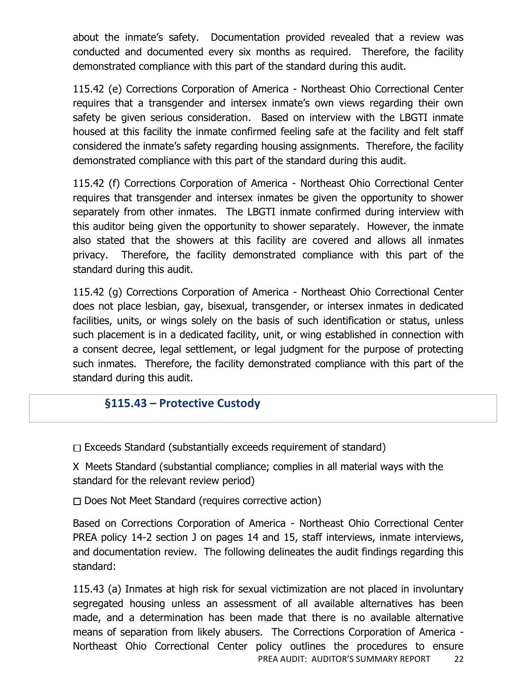about the inmate's safety. Documentation provided revealed that a review was conducted and documented every six months as required. Therefore, the facility demonstrated compliance with this part of the standard during this audit.

115.42 (e) Corrections Corporation of America - Northeast Ohio Correctional Center requires that a transgender and intersex inmate's own views regarding their own safety be given serious consideration. Based on interview with the LBGTI inmate housed at this facility the inmate confirmed feeling safe at the facility and felt staff considered the inmate's safety regarding housing assignments. Therefore, the facility demonstrated compliance with this part of the standard during this audit.

115.42 (f) Corrections Corporation of America - Northeast Ohio Correctional Center requires that transgender and intersex inmates be given the opportunity to shower separately from other inmates. The LBGTI inmate confirmed during interview with this auditor being given the opportunity to shower separately. However, the inmate also stated that the showers at this facility are covered and allows all inmates privacy. Therefore, the facility demonstrated compliance with this part of the standard during this audit.

115.42 (g) Corrections Corporation of America - Northeast Ohio Correctional Center does not place lesbian, gay, bisexual, transgender, or intersex inmates in dedicated facilities, units, or wings solely on the basis of such identification or status, unless such placement is in a dedicated facility, unit, or wing established in connection with a consent decree, legal settlement, or legal judgment for the purpose of protecting such inmates. Therefore, the facility demonstrated compliance with this part of the standard during this audit.

## **§115.43 – Protective Custody**

 $\Box$  Exceeds Standard (substantially exceeds requirement of standard)

X Meets Standard (substantial compliance; complies in all material ways with the standard for the relevant review period)

 $\Box$  Does Not Meet Standard (requires corrective action)

Based on Corrections Corporation of America - Northeast Ohio Correctional Center PREA policy 14-2 section J on pages 14 and 15, staff interviews, inmate interviews, and documentation review. The following delineates the audit findings regarding this standard:

PREA AUDIT: AUDITOR'S SUMMARY REPORT 22 115.43 (a) Inmates at high risk for sexual victimization are not placed in involuntary segregated housing unless an assessment of all available alternatives has been made, and a determination has been made that there is no available alternative means of separation from likely abusers. The Corrections Corporation of America - Northeast Ohio Correctional Center policy outlines the procedures to ensure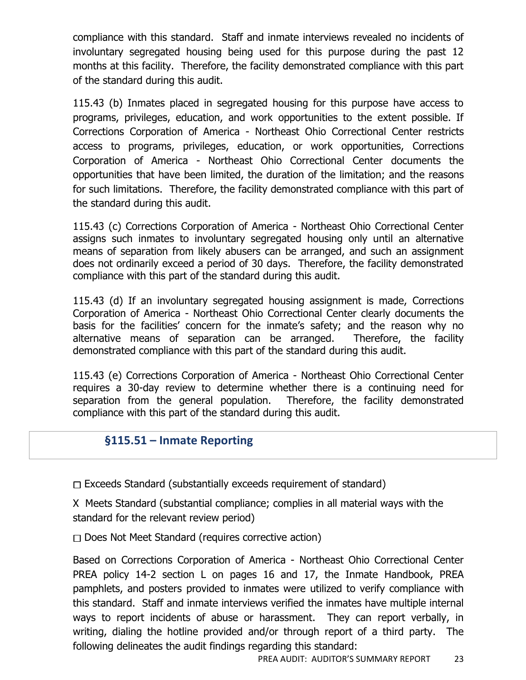compliance with this standard. Staff and inmate interviews revealed no incidents of involuntary segregated housing being used for this purpose during the past 12 months at this facility. Therefore, the facility demonstrated compliance with this part of the standard during this audit.

115.43 (b) Inmates placed in segregated housing for this purpose have access to programs, privileges, education, and work opportunities to the extent possible. If Corrections Corporation of America - Northeast Ohio Correctional Center restricts access to programs, privileges, education, or work opportunities, Corrections Corporation of America - Northeast Ohio Correctional Center documents the opportunities that have been limited, the duration of the limitation; and the reasons for such limitations. Therefore, the facility demonstrated compliance with this part of the standard during this audit.

115.43 (c) Corrections Corporation of America - Northeast Ohio Correctional Center assigns such inmates to involuntary segregated housing only until an alternative means of separation from likely abusers can be arranged, and such an assignment does not ordinarily exceed a period of 30 days. Therefore, the facility demonstrated compliance with this part of the standard during this audit.

115.43 (d) If an involuntary segregated housing assignment is made, Corrections Corporation of America - Northeast Ohio Correctional Center clearly documents the basis for the facilities' concern for the inmate's safety; and the reason why no alternative means of separation can be arranged. Therefore, the facility demonstrated compliance with this part of the standard during this audit.

115.43 (e) Corrections Corporation of America - Northeast Ohio Correctional Center requires a 30-day review to determine whether there is a continuing need for separation from the general population. Therefore, the facility demonstrated compliance with this part of the standard during this audit.

## **§115.51 – Inmate Reporting**

 $\Box$  Exceeds Standard (substantially exceeds requirement of standard)

X Meets Standard (substantial compliance; complies in all material ways with the standard for the relevant review period)

 $\Box$  Does Not Meet Standard (requires corrective action)

Based on Corrections Corporation of America - Northeast Ohio Correctional Center PREA policy 14-2 section L on pages 16 and 17, the Inmate Handbook, PREA pamphlets, and posters provided to inmates were utilized to verify compliance with this standard. Staff and inmate interviews verified the inmates have multiple internal ways to report incidents of abuse or harassment. They can report verbally, in writing, dialing the hotline provided and/or through report of a third party. The following delineates the audit findings regarding this standard: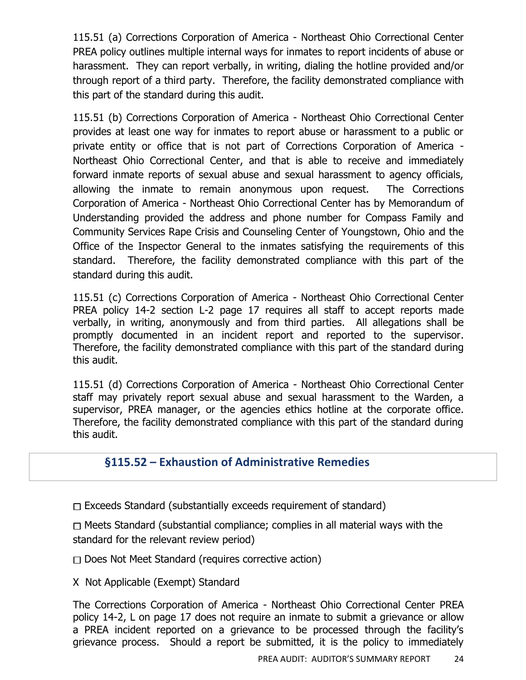115.51 (a) Corrections Corporation of America - Northeast Ohio Correctional Center PREA policy outlines multiple internal ways for inmates to report incidents of abuse or harassment. They can report verbally, in writing, dialing the hotline provided and/or through report of a third party. Therefore, the facility demonstrated compliance with this part of the standard during this audit.

115.51 (b) Corrections Corporation of America - Northeast Ohio Correctional Center provides at least one way for inmates to report abuse or harassment to a public or private entity or office that is not part of Corrections Corporation of America - Northeast Ohio Correctional Center, and that is able to receive and immediately forward inmate reports of sexual abuse and sexual harassment to agency officials, allowing the inmate to remain anonymous upon request. The Corrections Corporation of America - Northeast Ohio Correctional Center has by Memorandum of Understanding provided the address and phone number for Compass Family and Community Services Rape Crisis and Counseling Center of Youngstown, Ohio and the Office of the Inspector General to the inmates satisfying the requirements of this standard. Therefore, the facility demonstrated compliance with this part of the standard during this audit.

115.51 (c) Corrections Corporation of America - Northeast Ohio Correctional Center PREA policy 14-2 section L-2 page 17 requires all staff to accept reports made verbally, in writing, anonymously and from third parties. All allegations shall be promptly documented in an incident report and reported to the supervisor. Therefore, the facility demonstrated compliance with this part of the standard during this audit.

115.51 (d) Corrections Corporation of America - Northeast Ohio Correctional Center staff may privately report sexual abuse and sexual harassment to the Warden, a supervisor, PREA manager, or the agencies ethics hotline at the corporate office. Therefore, the facility demonstrated compliance with this part of the standard during this audit.

#### **§115.52 – Exhaustion of Administrative Remedies**

 $\Box$  Exceeds Standard (substantially exceeds requirement of standard)

 $\Box$  Meets Standard (substantial compliance; complies in all material ways with the standard for the relevant review period)

 $\Box$  Does Not Meet Standard (requires corrective action)

X Not Applicable (Exempt) Standard

The Corrections Corporation of America - Northeast Ohio Correctional Center PREA policy 14-2, L on page 17 does not require an inmate to submit a grievance or allow a PREA incident reported on a grievance to be processed through the facility's grievance process. Should a report be submitted, it is the policy to immediately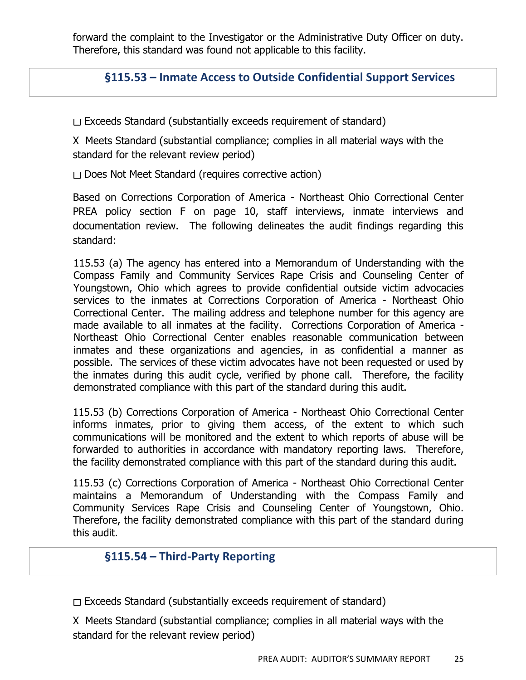forward the complaint to the Investigator or the Administrative Duty Officer on duty. Therefore, this standard was found not applicable to this facility.

#### **§115.53 – Inmate Access to Outside Confidential Support Services**

 $\Box$  Exceeds Standard (substantially exceeds requirement of standard)

X Meets Standard (substantial compliance; complies in all material ways with the standard for the relevant review period)

 $\Box$  Does Not Meet Standard (requires corrective action)

Based on Corrections Corporation of America - Northeast Ohio Correctional Center PREA policy section F on page 10, staff interviews, inmate interviews and documentation review. The following delineates the audit findings regarding this standard:

115.53 (a) The agency has entered into a Memorandum of Understanding with the Compass Family and Community Services Rape Crisis and Counseling Center of Youngstown, Ohio which agrees to provide confidential outside victim advocacies services to the inmates at Corrections Corporation of America - Northeast Ohio Correctional Center. The mailing address and telephone number for this agency are made available to all inmates at the facility. Corrections Corporation of America - Northeast Ohio Correctional Center enables reasonable communication between inmates and these organizations and agencies, in as confidential a manner as possible. The services of these victim advocates have not been requested or used by the inmates during this audit cycle, verified by phone call. Therefore, the facility demonstrated compliance with this part of the standard during this audit.

115.53 (b) Corrections Corporation of America - Northeast Ohio Correctional Center informs inmates, prior to giving them access, of the extent to which such communications will be monitored and the extent to which reports of abuse will be forwarded to authorities in accordance with mandatory reporting laws. Therefore, the facility demonstrated compliance with this part of the standard during this audit.

115.53 (c) Corrections Corporation of America - Northeast Ohio Correctional Center maintains a Memorandum of Understanding with the Compass Family and Community Services Rape Crisis and Counseling Center of Youngstown, Ohio. Therefore, the facility demonstrated compliance with this part of the standard during this audit.

#### **§115.54 – Third-Party Reporting**

 $\Box$  Exceeds Standard (substantially exceeds requirement of standard)

X Meets Standard (substantial compliance; complies in all material ways with the standard for the relevant review period)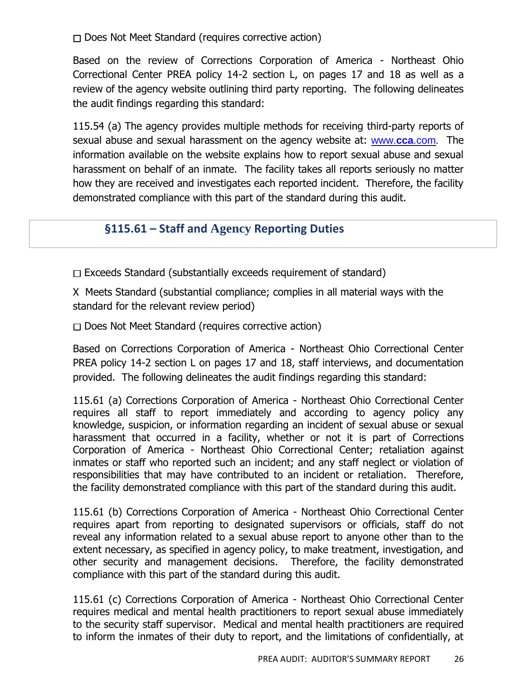$\Box$  Does Not Meet Standard (requires corrective action)

Based on the review of Corrections Corporation of America - Northeast Ohio Correctional Center PREA policy 14-2 section L, on pages 17 and 18 as well as a review of the agency website outlining third party reporting. The following delineates the audit findings regarding this standard:

115.54 (a) The agency provides multiple methods for receiving third-party reports of sexual abuse and sexual harassment on the agency website at: [www.](http://www.cca.com/)**cca**.com*.* The information available on the website explains how to report sexual abuse and sexual harassment on behalf of an inmate. The facility takes all reports seriously no matter how they are received and investigates each reported incident. Therefore, the facility demonstrated compliance with this part of the standard during this audit.

#### **§115.61 – Staff and Agency Reporting Duties**

 $\Box$  Exceeds Standard (substantially exceeds requirement of standard)

X Meets Standard (substantial compliance; complies in all material ways with the standard for the relevant review period)

 $\Box$  Does Not Meet Standard (requires corrective action)

Based on Corrections Corporation of America - Northeast Ohio Correctional Center PREA policy 14-2 section L on pages 17 and 18, staff interviews, and documentation provided. The following delineates the audit findings regarding this standard:

115.61 (a) Corrections Corporation of America - Northeast Ohio Correctional Center requires all staff to report immediately and according to agency policy any knowledge, suspicion, or information regarding an incident of sexual abuse or sexual harassment that occurred in a facility, whether or not it is part of Corrections Corporation of America - Northeast Ohio Correctional Center; retaliation against inmates or staff who reported such an incident; and any staff neglect or violation of responsibilities that may have contributed to an incident or retaliation. Therefore, the facility demonstrated compliance with this part of the standard during this audit.

115.61 (b) Corrections Corporation of America - Northeast Ohio Correctional Center requires apart from reporting to designated supervisors or officials, staff do not reveal any information related to a sexual abuse report to anyone other than to the extent necessary, as specified in agency policy, to make treatment, investigation, and other security and management decisions. Therefore, the facility demonstrated compliance with this part of the standard during this audit.

115.61 (c) Corrections Corporation of America - Northeast Ohio Correctional Center requires medical and mental health practitioners to report sexual abuse immediately to the security staff supervisor. Medical and mental health practitioners are required to inform the inmates of their duty to report, and the limitations of confidentially, at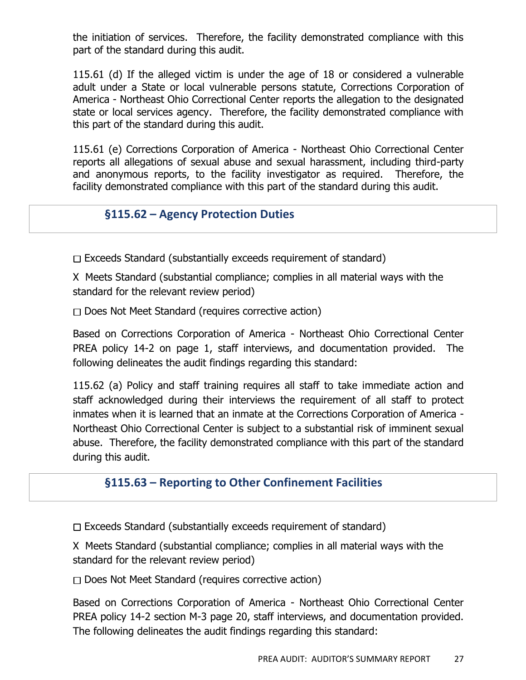the initiation of services. Therefore, the facility demonstrated compliance with this part of the standard during this audit.

115.61 (d) If the alleged victim is under the age of 18 or considered a vulnerable adult under a State or local vulnerable persons statute, Corrections Corporation of America - Northeast Ohio Correctional Center reports the allegation to the designated state or local services agency. Therefore, the facility demonstrated compliance with this part of the standard during this audit.

115.61 (e) Corrections Corporation of America - Northeast Ohio Correctional Center reports all allegations of sexual abuse and sexual harassment, including third-party and anonymous reports, to the facility investigator as required. Therefore, the facility demonstrated compliance with this part of the standard during this audit.

## **§115.62 – Agency Protection Duties**

 $\Box$  Exceeds Standard (substantially exceeds requirement of standard)

X Meets Standard (substantial compliance; complies in all material ways with the standard for the relevant review period)

 $\Box$  Does Not Meet Standard (requires corrective action)

Based on Corrections Corporation of America - Northeast Ohio Correctional Center PREA policy 14-2 on page 1, staff interviews, and documentation provided. The following delineates the audit findings regarding this standard:

115.62 (a) Policy and staff training requires all staff to take immediate action and staff acknowledged during their interviews the requirement of all staff to protect inmates when it is learned that an inmate at the Corrections Corporation of America - Northeast Ohio Correctional Center is subject to a substantial risk of imminent sexual abuse. Therefore, the facility demonstrated compliance with this part of the standard during this audit.

#### **§115.63 – Reporting to Other Confinement Facilities**

 $\Box$  Exceeds Standard (substantially exceeds requirement of standard)

X Meets Standard (substantial compliance; complies in all material ways with the standard for the relevant review period)

 $\Box$  Does Not Meet Standard (requires corrective action)

Based on Corrections Corporation of America - Northeast Ohio Correctional Center PREA policy 14-2 section M-3 page 20, staff interviews, and documentation provided. The following delineates the audit findings regarding this standard: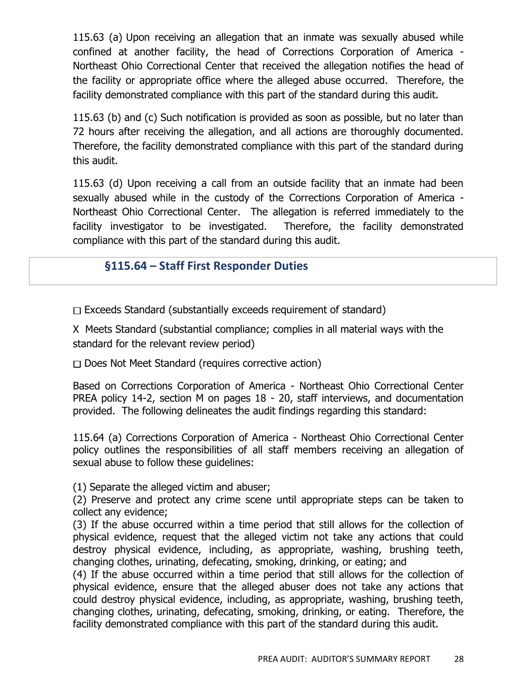115.63 (a) Upon receiving an allegation that an inmate was sexually abused while confined at another facility, the head of Corrections Corporation of America - Northeast Ohio Correctional Center that received the allegation notifies the head of the facility or appropriate office where the alleged abuse occurred. Therefore, the facility demonstrated compliance with this part of the standard during this audit.

115.63 (b) and (c) Such notification is provided as soon as possible, but no later than 72 hours after receiving the allegation, and all actions are thoroughly documented. Therefore, the facility demonstrated compliance with this part of the standard during this audit.

115.63 (d) Upon receiving a call from an outside facility that an inmate had been sexually abused while in the custody of the Corrections Corporation of America - Northeast Ohio Correctional Center. The allegation is referred immediately to the facility investigator to be investigated. Therefore, the facility demonstrated compliance with this part of the standard during this audit.

#### **§115.64 – Staff First Responder Duties**

 $\Box$  Exceeds Standard (substantially exceeds requirement of standard)

X Meets Standard (substantial compliance; complies in all material ways with the standard for the relevant review period)

 $\Box$  Does Not Meet Standard (requires corrective action)

Based on Corrections Corporation of America - Northeast Ohio Correctional Center PREA policy 14-2, section M on pages 18 - 20, staff interviews, and documentation provided. The following delineates the audit findings regarding this standard:

115.64 (a) Corrections Corporation of America - Northeast Ohio Correctional Center policy outlines the responsibilities of all staff members receiving an allegation of sexual abuse to follow these guidelines:

(1) Separate the alleged victim and abuser;

(2) Preserve and protect any crime scene until appropriate steps can be taken to collect any evidence;

(3) If the abuse occurred within a time period that still allows for the collection of physical evidence, request that the alleged victim not take any actions that could destroy physical evidence, including, as appropriate, washing, brushing teeth, changing clothes, urinating, defecating, smoking, drinking, or eating; and

(4) If the abuse occurred within a time period that still allows for the collection of physical evidence, ensure that the alleged abuser does not take any actions that could destroy physical evidence, including, as appropriate, washing, brushing teeth, changing clothes, urinating, defecating, smoking, drinking, or eating. Therefore, the facility demonstrated compliance with this part of the standard during this audit.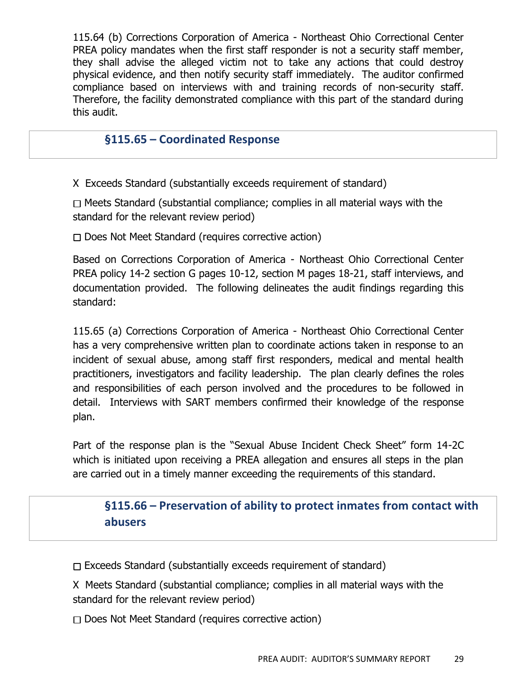115.64 (b) Corrections Corporation of America - Northeast Ohio Correctional Center PREA policy mandates when the first staff responder is not a security staff member, they shall advise the alleged victim not to take any actions that could destroy physical evidence, and then notify security staff immediately. The auditor confirmed compliance based on interviews with and training records of non-security staff. Therefore, the facility demonstrated compliance with this part of the standard during this audit.

#### **§115.65 – Coordinated Response**

X Exceeds Standard (substantially exceeds requirement of standard)

 $\Box$  Meets Standard (substantial compliance; complies in all material ways with the standard for the relevant review period)

 $\Box$  Does Not Meet Standard (requires corrective action)

Based on Corrections Corporation of America - Northeast Ohio Correctional Center PREA policy 14-2 section G pages 10-12, section M pages 18-21, staff interviews, and documentation provided. The following delineates the audit findings regarding this standard:

115.65 (a) Corrections Corporation of America - Northeast Ohio Correctional Center has a very comprehensive written plan to coordinate actions taken in response to an incident of sexual abuse, among staff first responders, medical and mental health practitioners, investigators and facility leadership. The plan clearly defines the roles and responsibilities of each person involved and the procedures to be followed in detail. Interviews with SART members confirmed their knowledge of the response plan.

Part of the response plan is the "Sexual Abuse Incident Check Sheet" form 14-2C which is initiated upon receiving a PREA allegation and ensures all steps in the plan are carried out in a timely manner exceeding the requirements of this standard.

**§115.66 – Preservation of ability to protect inmates from contact with abusers**

 $\Box$  Exceeds Standard (substantially exceeds requirement of standard)

X Meets Standard (substantial compliance; complies in all material ways with the standard for the relevant review period)

 $\Box$  Does Not Meet Standard (requires corrective action)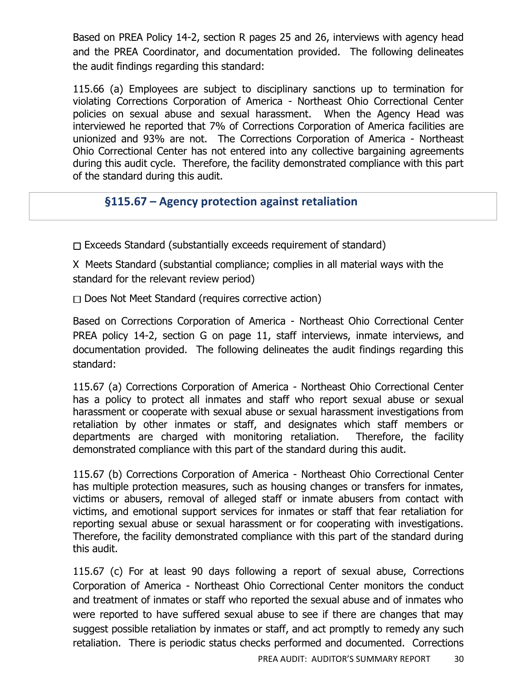Based on PREA Policy 14-2, section R pages 25 and 26, interviews with agency head and the PREA Coordinator, and documentation provided. The following delineates the audit findings regarding this standard:

115.66 (a) Employees are subject to disciplinary sanctions up to termination for violating Corrections Corporation of America - Northeast Ohio Correctional Center policies on sexual abuse and sexual harassment. When the Agency Head was interviewed he reported that 7% of Corrections Corporation of America facilities are unionized and 93% are not. The Corrections Corporation of America - Northeast Ohio Correctional Center has not entered into any collective bargaining agreements during this audit cycle. Therefore, the facility demonstrated compliance with this part of the standard during this audit.

# **§115.67 – Agency protection against retaliation**

 $\Box$  Exceeds Standard (substantially exceeds requirement of standard)

X Meets Standard (substantial compliance; complies in all material ways with the standard for the relevant review period)

 $\Box$  Does Not Meet Standard (requires corrective action)

Based on Corrections Corporation of America - Northeast Ohio Correctional Center PREA policy 14-2, section G on page 11, staff interviews, inmate interviews, and documentation provided. The following delineates the audit findings regarding this standard:

115.67 (a) Corrections Corporation of America - Northeast Ohio Correctional Center has a policy to protect all inmates and staff who report sexual abuse or sexual harassment or cooperate with sexual abuse or sexual harassment investigations from retaliation by other inmates or staff, and designates which staff members or departments are charged with monitoring retaliation. Therefore, the facility demonstrated compliance with this part of the standard during this audit.

115.67 (b) Corrections Corporation of America - Northeast Ohio Correctional Center has multiple protection measures, such as housing changes or transfers for inmates, victims or abusers, removal of alleged staff or inmate abusers from contact with victims, and emotional support services for inmates or staff that fear retaliation for reporting sexual abuse or sexual harassment or for cooperating with investigations. Therefore, the facility demonstrated compliance with this part of the standard during this audit.

115.67 (c) For at least 90 days following a report of sexual abuse, Corrections Corporation of America - Northeast Ohio Correctional Center monitors the conduct and treatment of inmates or staff who reported the sexual abuse and of inmates who were reported to have suffered sexual abuse to see if there are changes that may suggest possible retaliation by inmates or staff, and act promptly to remedy any such retaliation. There is periodic status checks performed and documented. Corrections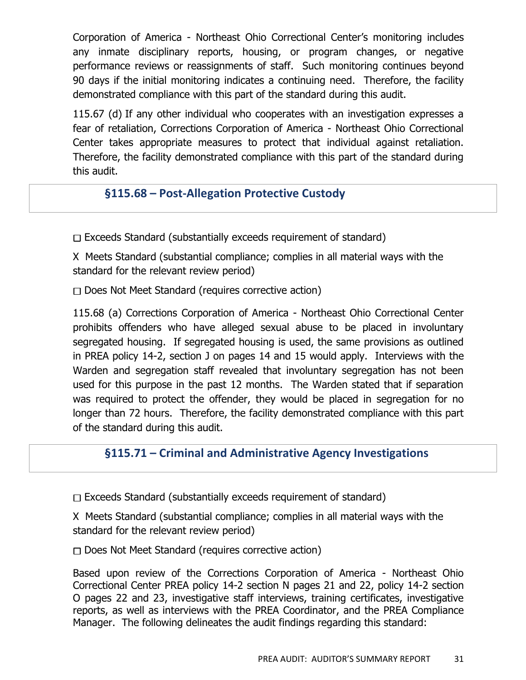Corporation of America - Northeast Ohio Correctional Center's monitoring includes any inmate disciplinary reports, housing, or program changes, or negative performance reviews or reassignments of staff. Such monitoring continues beyond 90 days if the initial monitoring indicates a continuing need. Therefore, the facility demonstrated compliance with this part of the standard during this audit.

115.67 (d) If any other individual who cooperates with an investigation expresses a fear of retaliation, Corrections Corporation of America - Northeast Ohio Correctional Center takes appropriate measures to protect that individual against retaliation. Therefore, the facility demonstrated compliance with this part of the standard during this audit.

#### **§115.68 – Post-Allegation Protective Custody**

 $\Box$  Exceeds Standard (substantially exceeds requirement of standard)

X Meets Standard (substantial compliance; complies in all material ways with the standard for the relevant review period)

 $\Box$  Does Not Meet Standard (requires corrective action)

115.68 (a) Corrections Corporation of America - Northeast Ohio Correctional Center prohibits offenders who have alleged sexual abuse to be placed in involuntary segregated housing. If segregated housing is used, the same provisions as outlined in PREA policy 14-2, section J on pages 14 and 15 would apply. Interviews with the Warden and segregation staff revealed that involuntary segregation has not been used for this purpose in the past 12 months. The Warden stated that if separation was required to protect the offender, they would be placed in segregation for no longer than 72 hours. Therefore, the facility demonstrated compliance with this part of the standard during this audit.

#### **§115.71 – Criminal and Administrative Agency Investigations**

 $\Box$  Exceeds Standard (substantially exceeds requirement of standard)

X Meets Standard (substantial compliance; complies in all material ways with the standard for the relevant review period)

 $\Box$  Does Not Meet Standard (requires corrective action)

Based upon review of the Corrections Corporation of America - Northeast Ohio Correctional Center PREA policy 14-2 section N pages 21 and 22, policy 14-2 section O pages 22 and 23, investigative staff interviews, training certificates, investigative reports, as well as interviews with the PREA Coordinator, and the PREA Compliance Manager. The following delineates the audit findings regarding this standard: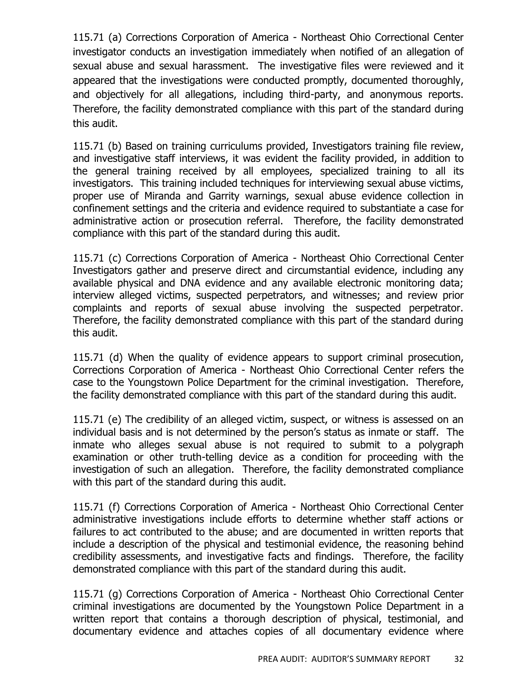115.71 (a) Corrections Corporation of America - Northeast Ohio Correctional Center investigator conducts an investigation immediately when notified of an allegation of sexual abuse and sexual harassment. The investigative files were reviewed and it appeared that the investigations were conducted promptly, documented thoroughly, and objectively for all allegations, including third-party, and anonymous reports. Therefore, the facility demonstrated compliance with this part of the standard during this audit.

115.71 (b) Based on training curriculums provided, Investigators training file review, and investigative staff interviews, it was evident the facility provided, in addition to the general training received by all employees, specialized training to all its investigators. This training included techniques for interviewing sexual abuse victims, proper use of Miranda and Garrity warnings, sexual abuse evidence collection in confinement settings and the criteria and evidence required to substantiate a case for administrative action or prosecution referral. Therefore, the facility demonstrated compliance with this part of the standard during this audit.

115.71 (c) Corrections Corporation of America - Northeast Ohio Correctional Center Investigators gather and preserve direct and circumstantial evidence, including any available physical and DNA evidence and any available electronic monitoring data; interview alleged victims, suspected perpetrators, and witnesses; and review prior complaints and reports of sexual abuse involving the suspected perpetrator. Therefore, the facility demonstrated compliance with this part of the standard during this audit.

115.71 (d) When the quality of evidence appears to support criminal prosecution, Corrections Corporation of America - Northeast Ohio Correctional Center refers the case to the Youngstown Police Department for the criminal investigation. Therefore, the facility demonstrated compliance with this part of the standard during this audit.

115.71 (e) The credibility of an alleged victim, suspect, or witness is assessed on an individual basis and is not determined by the person's status as inmate or staff. The inmate who alleges sexual abuse is not required to submit to a polygraph examination or other truth-telling device as a condition for proceeding with the investigation of such an allegation. Therefore, the facility demonstrated compliance with this part of the standard during this audit.

115.71 (f) Corrections Corporation of America - Northeast Ohio Correctional Center administrative investigations include efforts to determine whether staff actions or failures to act contributed to the abuse; and are documented in written reports that include a description of the physical and testimonial evidence, the reasoning behind credibility assessments, and investigative facts and findings. Therefore, the facility demonstrated compliance with this part of the standard during this audit.

115.71 (g) Corrections Corporation of America - Northeast Ohio Correctional Center criminal investigations are documented by the Youngstown Police Department in a written report that contains a thorough description of physical, testimonial, and documentary evidence and attaches copies of all documentary evidence where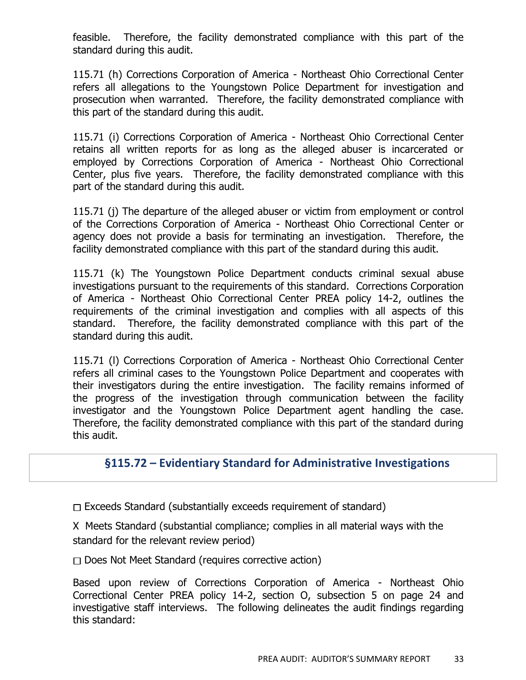feasible. Therefore, the facility demonstrated compliance with this part of the standard during this audit.

115.71 (h) Corrections Corporation of America - Northeast Ohio Correctional Center refers all allegations to the Youngstown Police Department for investigation and prosecution when warranted. Therefore, the facility demonstrated compliance with this part of the standard during this audit.

115.71 (i) Corrections Corporation of America - Northeast Ohio Correctional Center retains all written reports for as long as the alleged abuser is incarcerated or employed by Corrections Corporation of America - Northeast Ohio Correctional Center, plus five years. Therefore, the facility demonstrated compliance with this part of the standard during this audit.

115.71 (j) The departure of the alleged abuser or victim from employment or control of the Corrections Corporation of America - Northeast Ohio Correctional Center or agency does not provide a basis for terminating an investigation. Therefore, the facility demonstrated compliance with this part of the standard during this audit.

115.71 (k) The Youngstown Police Department conducts criminal sexual abuse investigations pursuant to the requirements of this standard. Corrections Corporation of America - Northeast Ohio Correctional Center PREA policy 14-2, outlines the requirements of the criminal investigation and complies with all aspects of this standard. Therefore, the facility demonstrated compliance with this part of the standard during this audit.

115.71 (l) Corrections Corporation of America - Northeast Ohio Correctional Center refers all criminal cases to the Youngstown Police Department and cooperates with their investigators during the entire investigation. The facility remains informed of the progress of the investigation through communication between the facility investigator and the Youngstown Police Department agent handling the case. Therefore, the facility demonstrated compliance with this part of the standard during this audit.

#### **§115.72 – Evidentiary Standard for Administrative Investigations**

 $\Box$  Exceeds Standard (substantially exceeds requirement of standard)

X Meets Standard (substantial compliance; complies in all material ways with the standard for the relevant review period)

 $\Box$  Does Not Meet Standard (requires corrective action)

Based upon review of Corrections Corporation of America - Northeast Ohio Correctional Center PREA policy 14-2, section O, subsection 5 on page 24 and investigative staff interviews. The following delineates the audit findings regarding this standard: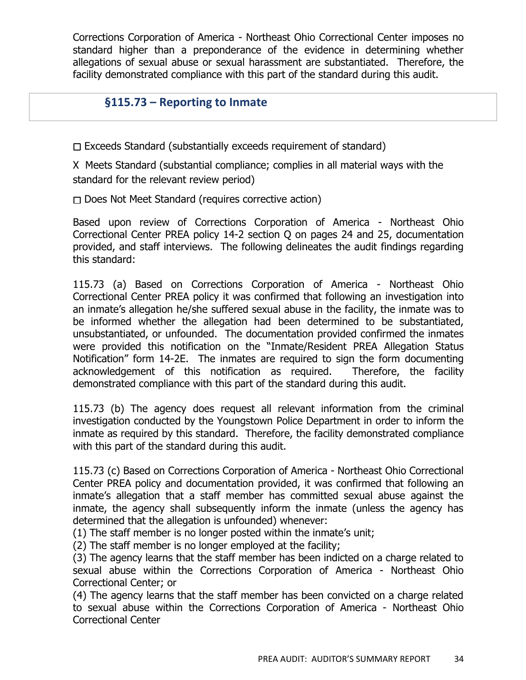Corrections Corporation of America - Northeast Ohio Correctional Center imposes no standard higher than a preponderance of the evidence in determining whether allegations of sexual abuse or sexual harassment are substantiated. Therefore, the facility demonstrated compliance with this part of the standard during this audit.

#### **§115.73 – Reporting to Inmate**

 $\Box$  Exceeds Standard (substantially exceeds requirement of standard)

X Meets Standard (substantial compliance; complies in all material ways with the standard for the relevant review period)

 $\Box$  Does Not Meet Standard (requires corrective action)

Based upon review of Corrections Corporation of America - Northeast Ohio Correctional Center PREA policy 14-2 section Q on pages 24 and 25, documentation provided, and staff interviews. The following delineates the audit findings regarding this standard:

115.73 (a) Based on Corrections Corporation of America - Northeast Ohio Correctional Center PREA policy it was confirmed that following an investigation into an inmate's allegation he/she suffered sexual abuse in the facility, the inmate was to be informed whether the allegation had been determined to be substantiated, unsubstantiated, or unfounded. The documentation provided confirmed the inmates were provided this notification on the "Inmate/Resident PREA Allegation Status Notification" form 14-2E. The inmates are required to sign the form documenting acknowledgement of this notification as required. Therefore, the facility demonstrated compliance with this part of the standard during this audit.

115.73 (b) The agency does request all relevant information from the criminal investigation conducted by the Youngstown Police Department in order to inform the inmate as required by this standard. Therefore, the facility demonstrated compliance with this part of the standard during this audit.

115.73 (c) Based on Corrections Corporation of America - Northeast Ohio Correctional Center PREA policy and documentation provided, it was confirmed that following an inmate's allegation that a staff member has committed sexual abuse against the inmate, the agency shall subsequently inform the inmate (unless the agency has determined that the allegation is unfounded) whenever:

(1) The staff member is no longer posted within the inmate's unit;

(2) The staff member is no longer employed at the facility;

(3) The agency learns that the staff member has been indicted on a charge related to sexual abuse within the Corrections Corporation of America - Northeast Ohio Correctional Center; or

(4) The agency learns that the staff member has been convicted on a charge related to sexual abuse within the Corrections Corporation of America - Northeast Ohio Correctional Center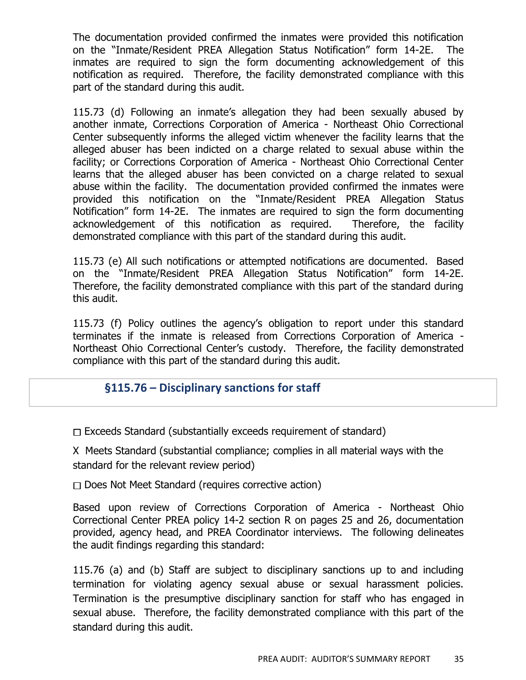The documentation provided confirmed the inmates were provided this notification on the "Inmate/Resident PREA Allegation Status Notification" form 14-2E. The inmates are required to sign the form documenting acknowledgement of this notification as required. Therefore, the facility demonstrated compliance with this part of the standard during this audit.

115.73 (d) Following an inmate's allegation they had been sexually abused by another inmate, Corrections Corporation of America - Northeast Ohio Correctional Center subsequently informs the alleged victim whenever the facility learns that the alleged abuser has been indicted on a charge related to sexual abuse within the facility; or Corrections Corporation of America - Northeast Ohio Correctional Center learns that the alleged abuser has been convicted on a charge related to sexual abuse within the facility. The documentation provided confirmed the inmates were provided this notification on the "Inmate/Resident PREA Allegation Status Notification" form 14-2E. The inmates are required to sign the form documenting acknowledgement of this notification as required. Therefore, the facility demonstrated compliance with this part of the standard during this audit.

115.73 (e) All such notifications or attempted notifications are documented. Based on the "Inmate/Resident PREA Allegation Status Notification" form 14-2E. Therefore, the facility demonstrated compliance with this part of the standard during this audit.

115.73 (f) Policy outlines the agency's obligation to report under this standard terminates if the inmate is released from Corrections Corporation of America - Northeast Ohio Correctional Center's custody. Therefore, the facility demonstrated compliance with this part of the standard during this audit.

#### **§115.76 – Disciplinary sanctions for staff**

 $\Box$  Exceeds Standard (substantially exceeds requirement of standard)

X Meets Standard (substantial compliance; complies in all material ways with the standard for the relevant review period)

D Does Not Meet Standard (requires corrective action)

Based upon review of Corrections Corporation of America - Northeast Ohio Correctional Center PREA policy 14-2 section R on pages 25 and 26, documentation provided, agency head, and PREA Coordinator interviews. The following delineates the audit findings regarding this standard:

115.76 (a) and (b) Staff are subject to disciplinary sanctions up to and including termination for violating agency sexual abuse or sexual harassment policies. Termination is the presumptive disciplinary sanction for staff who has engaged in sexual abuse. Therefore, the facility demonstrated compliance with this part of the standard during this audit.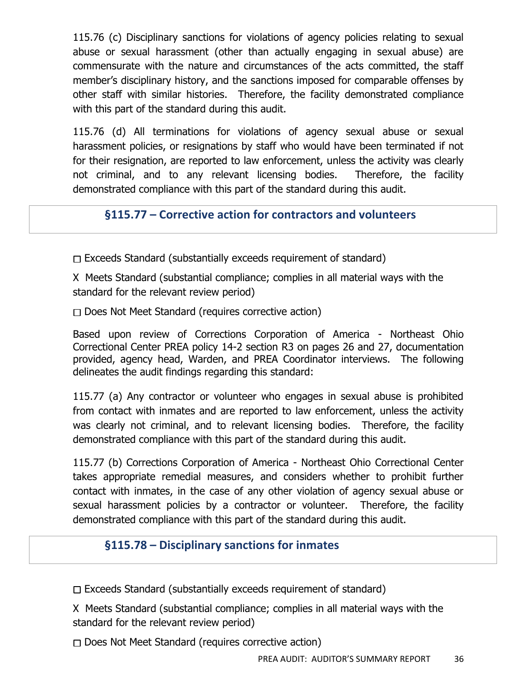115.76 (c) Disciplinary sanctions for violations of agency policies relating to sexual abuse or sexual harassment (other than actually engaging in sexual abuse) are commensurate with the nature and circumstances of the acts committed, the staff member's disciplinary history, and the sanctions imposed for comparable offenses by other staff with similar histories. Therefore, the facility demonstrated compliance with this part of the standard during this audit.

115.76 (d) All terminations for violations of agency sexual abuse or sexual harassment policies, or resignations by staff who would have been terminated if not for their resignation, are reported to law enforcement, unless the activity was clearly not criminal, and to any relevant licensing bodies. Therefore, the facility demonstrated compliance with this part of the standard during this audit.

**§115.77 – Corrective action for contractors and volunteers**

 $\Box$  Exceeds Standard (substantially exceeds requirement of standard)

X Meets Standard (substantial compliance; complies in all material ways with the standard for the relevant review period)

 $\Box$  Does Not Meet Standard (requires corrective action)

Based upon review of Corrections Corporation of America - Northeast Ohio Correctional Center PREA policy 14-2 section R3 on pages 26 and 27, documentation provided, agency head, Warden, and PREA Coordinator interviews. The following delineates the audit findings regarding this standard:

115.77 (a) Any contractor or volunteer who engages in sexual abuse is prohibited from contact with inmates and are reported to law enforcement, unless the activity was clearly not criminal, and to relevant licensing bodies. Therefore, the facility demonstrated compliance with this part of the standard during this audit.

115.77 (b) Corrections Corporation of America - Northeast Ohio Correctional Center takes appropriate remedial measures, and considers whether to prohibit further contact with inmates, in the case of any other violation of agency sexual abuse or sexual harassment policies by a contractor or volunteer. Therefore, the facility demonstrated compliance with this part of the standard during this audit.

## **§115.78 – Disciplinary sanctions for inmates**

 $\Box$  Exceeds Standard (substantially exceeds requirement of standard)

X Meets Standard (substantial compliance; complies in all material ways with the standard for the relevant review period)

 $\Box$  Does Not Meet Standard (requires corrective action)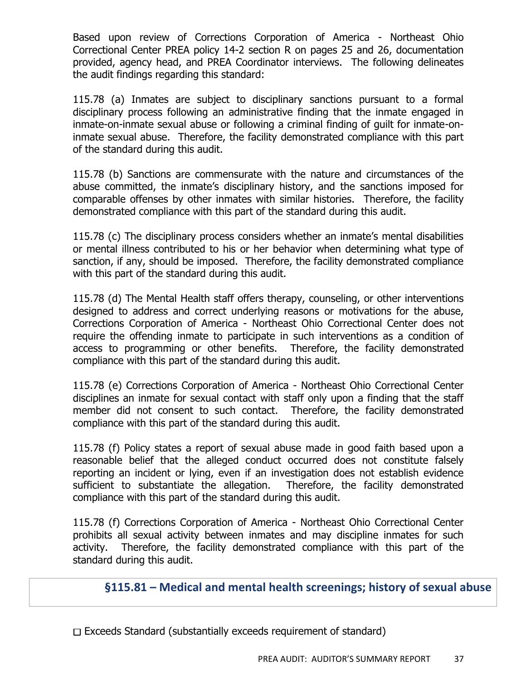Based upon review of Corrections Corporation of America - Northeast Ohio Correctional Center PREA policy 14-2 section R on pages 25 and 26, documentation provided, agency head, and PREA Coordinator interviews. The following delineates the audit findings regarding this standard:

115.78 (a) Inmates are subject to disciplinary sanctions pursuant to a formal disciplinary process following an administrative finding that the inmate engaged in inmate-on-inmate sexual abuse or following a criminal finding of guilt for inmate-oninmate sexual abuse. Therefore, the facility demonstrated compliance with this part of the standard during this audit.

115.78 (b) Sanctions are commensurate with the nature and circumstances of the abuse committed, the inmate's disciplinary history, and the sanctions imposed for comparable offenses by other inmates with similar histories. Therefore, the facility demonstrated compliance with this part of the standard during this audit.

115.78 (c) The disciplinary process considers whether an inmate's mental disabilities or mental illness contributed to his or her behavior when determining what type of sanction, if any, should be imposed. Therefore, the facility demonstrated compliance with this part of the standard during this audit.

115.78 (d) The Mental Health staff offers therapy, counseling, or other interventions designed to address and correct underlying reasons or motivations for the abuse, Corrections Corporation of America - Northeast Ohio Correctional Center does not require the offending inmate to participate in such interventions as a condition of access to programming or other benefits. Therefore, the facility demonstrated compliance with this part of the standard during this audit.

115.78 (e) Corrections Corporation of America - Northeast Ohio Correctional Center disciplines an inmate for sexual contact with staff only upon a finding that the staff member did not consent to such contact. Therefore, the facility demonstrated compliance with this part of the standard during this audit.

115.78 (f) Policy states a report of sexual abuse made in good faith based upon a reasonable belief that the alleged conduct occurred does not constitute falsely reporting an incident or lying, even if an investigation does not establish evidence sufficient to substantiate the allegation. Therefore, the facility demonstrated compliance with this part of the standard during this audit.

115.78 (f) Corrections Corporation of America - Northeast Ohio Correctional Center prohibits all sexual activity between inmates and may discipline inmates for such activity. Therefore, the facility demonstrated compliance with this part of the standard during this audit.

# **§115.81 – Medical and mental health screenings; history of sexual abuse**

 $\Box$  Exceeds Standard (substantially exceeds requirement of standard)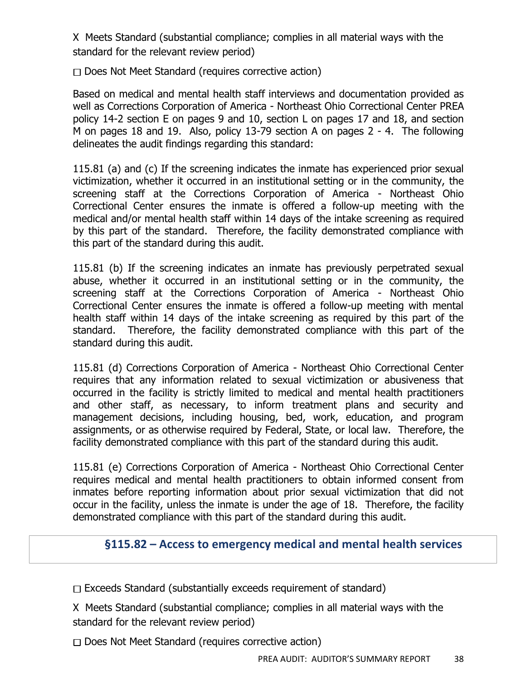X Meets Standard (substantial compliance; complies in all material ways with the standard for the relevant review period)

 $\Box$  Does Not Meet Standard (requires corrective action)

Based on medical and mental health staff interviews and documentation provided as well as Corrections Corporation of America - Northeast Ohio Correctional Center PREA policy 14-2 section E on pages 9 and 10, section L on pages 17 and 18, and section M on pages 18 and 19. Also, policy 13-79 section A on pages 2 - 4. The following delineates the audit findings regarding this standard:

115.81 (a) and (c) If the screening indicates the inmate has experienced prior sexual victimization, whether it occurred in an institutional setting or in the community, the screening staff at the Corrections Corporation of America - Northeast Ohio Correctional Center ensures the inmate is offered a follow-up meeting with the medical and/or mental health staff within 14 days of the intake screening as required by this part of the standard. Therefore, the facility demonstrated compliance with this part of the standard during this audit.

115.81 (b) If the screening indicates an inmate has previously perpetrated sexual abuse, whether it occurred in an institutional setting or in the community, the screening staff at the Corrections Corporation of America - Northeast Ohio Correctional Center ensures the inmate is offered a follow-up meeting with mental health staff within 14 days of the intake screening as required by this part of the standard. Therefore, the facility demonstrated compliance with this part of the standard during this audit.

115.81 (d) Corrections Corporation of America - Northeast Ohio Correctional Center requires that any information related to sexual victimization or abusiveness that occurred in the facility is strictly limited to medical and mental health practitioners and other staff, as necessary, to inform treatment plans and security and management decisions, including housing, bed, work, education, and program assignments, or as otherwise required by Federal, State, or local law. Therefore, the facility demonstrated compliance with this part of the standard during this audit.

115.81 (e) Corrections Corporation of America - Northeast Ohio Correctional Center requires medical and mental health practitioners to obtain informed consent from inmates before reporting information about prior sexual victimization that did not occur in the facility, unless the inmate is under the age of 18. Therefore, the facility demonstrated compliance with this part of the standard during this audit.

## **§115.82 – Access to emergency medical and mental health services**

 $\Box$  Exceeds Standard (substantially exceeds requirement of standard)

X Meets Standard (substantial compliance; complies in all material ways with the standard for the relevant review period)

 $\Box$  Does Not Meet Standard (requires corrective action)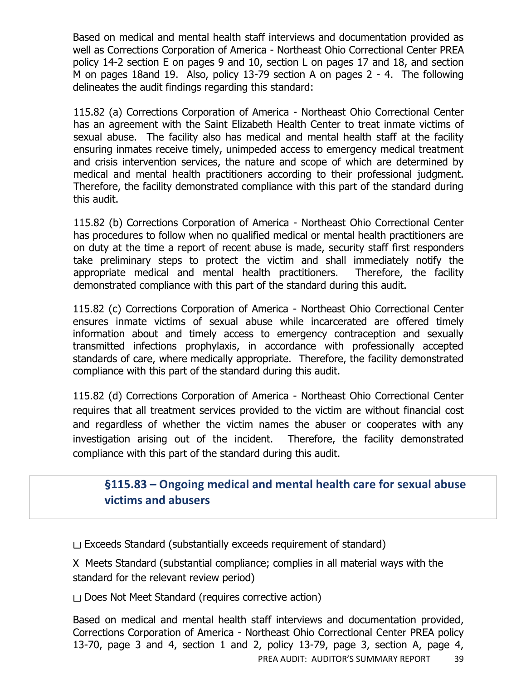Based on medical and mental health staff interviews and documentation provided as well as Corrections Corporation of America - Northeast Ohio Correctional Center PREA policy 14-2 section E on pages 9 and 10, section L on pages 17 and 18, and section M on pages 18and 19. Also, policy 13-79 section A on pages 2 - 4. The following delineates the audit findings regarding this standard:

115.82 (a) Corrections Corporation of America - Northeast Ohio Correctional Center has an agreement with the Saint Elizabeth Health Center to treat inmate victims of sexual abuse. The facility also has medical and mental health staff at the facility ensuring inmates receive timely, unimpeded access to emergency medical treatment and crisis intervention services, the nature and scope of which are determined by medical and mental health practitioners according to their professional judgment. Therefore, the facility demonstrated compliance with this part of the standard during this audit.

115.82 (b) Corrections Corporation of America - Northeast Ohio Correctional Center has procedures to follow when no qualified medical or mental health practitioners are on duty at the time a report of recent abuse is made, security staff first responders take preliminary steps to protect the victim and shall immediately notify the appropriate medical and mental health practitioners. Therefore, the facility demonstrated compliance with this part of the standard during this audit.

115.82 (c) Corrections Corporation of America - Northeast Ohio Correctional Center ensures inmate victims of sexual abuse while incarcerated are offered timely information about and timely access to emergency contraception and sexually transmitted infections prophylaxis, in accordance with professionally accepted standards of care, where medically appropriate. Therefore, the facility demonstrated compliance with this part of the standard during this audit.

115.82 (d) Corrections Corporation of America - Northeast Ohio Correctional Center requires that all treatment services provided to the victim are without financial cost and regardless of whether the victim names the abuser or cooperates with any investigation arising out of the incident. Therefore, the facility demonstrated compliance with this part of the standard during this audit.

## **§115.83 – Ongoing medical and mental health care for sexual abuse victims and abusers**

 $\Box$  Exceeds Standard (substantially exceeds requirement of standard)

X Meets Standard (substantial compliance; complies in all material ways with the standard for the relevant review period)

 $\Box$  Does Not Meet Standard (requires corrective action)

PREA AUDIT: AUDITOR'S SUMMARY REPORT 39 Based on medical and mental health staff interviews and documentation provided, Corrections Corporation of America - Northeast Ohio Correctional Center PREA policy 13-70, page 3 and 4, section 1 and 2, policy 13-79, page 3, section A, page 4,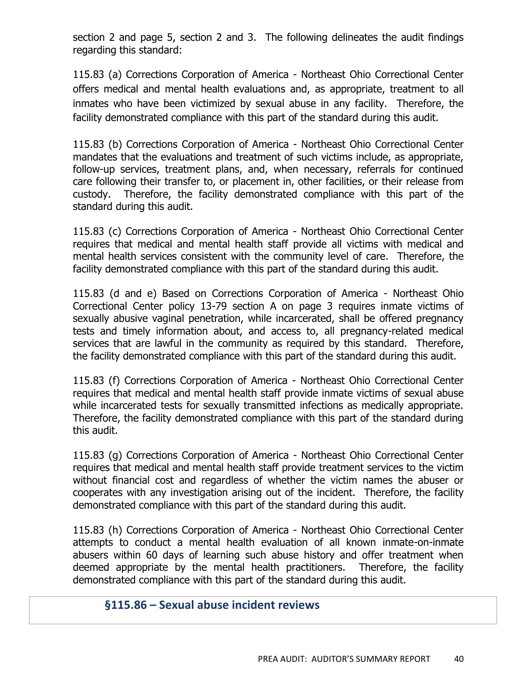section 2 and page 5, section 2 and 3. The following delineates the audit findings regarding this standard:

115.83 (a) Corrections Corporation of America - Northeast Ohio Correctional Center offers medical and mental health evaluations and, as appropriate, treatment to all inmates who have been victimized by sexual abuse in any facility. Therefore, the facility demonstrated compliance with this part of the standard during this audit.

115.83 (b) Corrections Corporation of America - Northeast Ohio Correctional Center mandates that the evaluations and treatment of such victims include, as appropriate, follow-up services, treatment plans, and, when necessary, referrals for continued care following their transfer to, or placement in, other facilities, or their release from custody. Therefore, the facility demonstrated compliance with this part of the standard during this audit.

115.83 (c) Corrections Corporation of America - Northeast Ohio Correctional Center requires that medical and mental health staff provide all victims with medical and mental health services consistent with the community level of care. Therefore, the facility demonstrated compliance with this part of the standard during this audit.

115.83 (d and e) Based on Corrections Corporation of America - Northeast Ohio Correctional Center policy 13-79 section A on page 3 requires inmate victims of sexually abusive vaginal penetration, while incarcerated, shall be offered pregnancy tests and timely information about, and access to, all pregnancy-related medical services that are lawful in the community as required by this standard. Therefore, the facility demonstrated compliance with this part of the standard during this audit.

115.83 (f) Corrections Corporation of America - Northeast Ohio Correctional Center requires that medical and mental health staff provide inmate victims of sexual abuse while incarcerated tests for sexually transmitted infections as medically appropriate. Therefore, the facility demonstrated compliance with this part of the standard during this audit.

115.83 (g) Corrections Corporation of America - Northeast Ohio Correctional Center requires that medical and mental health staff provide treatment services to the victim without financial cost and regardless of whether the victim names the abuser or cooperates with any investigation arising out of the incident. Therefore, the facility demonstrated compliance with this part of the standard during this audit.

115.83 (h) Corrections Corporation of America - Northeast Ohio Correctional Center attempts to conduct a mental health evaluation of all known inmate-on-inmate abusers within 60 days of learning such abuse history and offer treatment when deemed appropriate by the mental health practitioners. Therefore, the facility demonstrated compliance with this part of the standard during this audit.

#### **§115.86 – Sexual abuse incident reviews**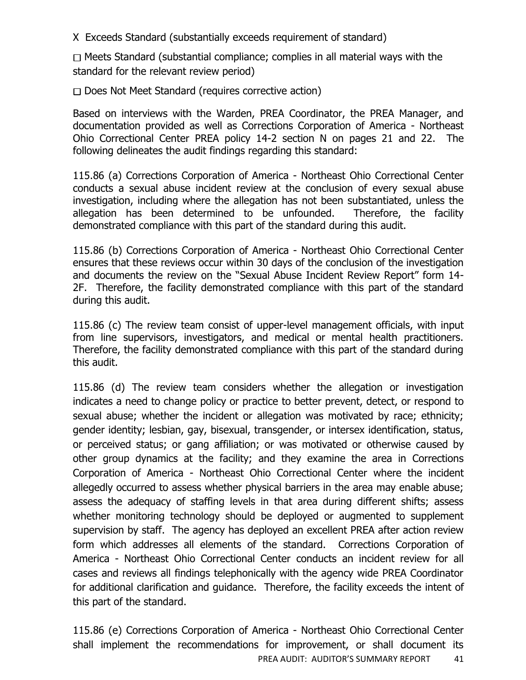X Exceeds Standard (substantially exceeds requirement of standard)

 $\Box$  Meets Standard (substantial compliance; complies in all material ways with the standard for the relevant review period)

 $\Box$  Does Not Meet Standard (requires corrective action)

Based on interviews with the Warden, PREA Coordinator, the PREA Manager, and documentation provided as well as Corrections Corporation of America - Northeast Ohio Correctional Center PREA policy 14-2 section N on pages 21 and 22. The following delineates the audit findings regarding this standard:

115.86 (a) Corrections Corporation of America - Northeast Ohio Correctional Center conducts a sexual abuse incident review at the conclusion of every sexual abuse investigation, including where the allegation has not been substantiated, unless the allegation has been determined to be unfounded. Therefore, the facility demonstrated compliance with this part of the standard during this audit.

115.86 (b) Corrections Corporation of America - Northeast Ohio Correctional Center ensures that these reviews occur within 30 days of the conclusion of the investigation and documents the review on the "Sexual Abuse Incident Review Report" form 14- 2F. Therefore, the facility demonstrated compliance with this part of the standard during this audit.

115.86 (c) The review team consist of upper-level management officials, with input from line supervisors, investigators, and medical or mental health practitioners. Therefore, the facility demonstrated compliance with this part of the standard during this audit.

115.86 (d) The review team considers whether the allegation or investigation indicates a need to change policy or practice to better prevent, detect, or respond to sexual abuse; whether the incident or allegation was motivated by race; ethnicity; gender identity; lesbian, gay, bisexual, transgender, or intersex identification, status, or perceived status; or gang affiliation; or was motivated or otherwise caused by other group dynamics at the facility; and they examine the area in Corrections Corporation of America - Northeast Ohio Correctional Center where the incident allegedly occurred to assess whether physical barriers in the area may enable abuse; assess the adequacy of staffing levels in that area during different shifts; assess whether monitoring technology should be deployed or augmented to supplement supervision by staff. The agency has deployed an excellent PREA after action review form which addresses all elements of the standard. Corrections Corporation of America - Northeast Ohio Correctional Center conducts an incident review for all cases and reviews all findings telephonically with the agency wide PREA Coordinator for additional clarification and guidance. Therefore, the facility exceeds the intent of this part of the standard.

PREA AUDIT: AUDITOR'S SUMMARY REPORT 41 115.86 (e) Corrections Corporation of America - Northeast Ohio Correctional Center shall implement the recommendations for improvement, or shall document its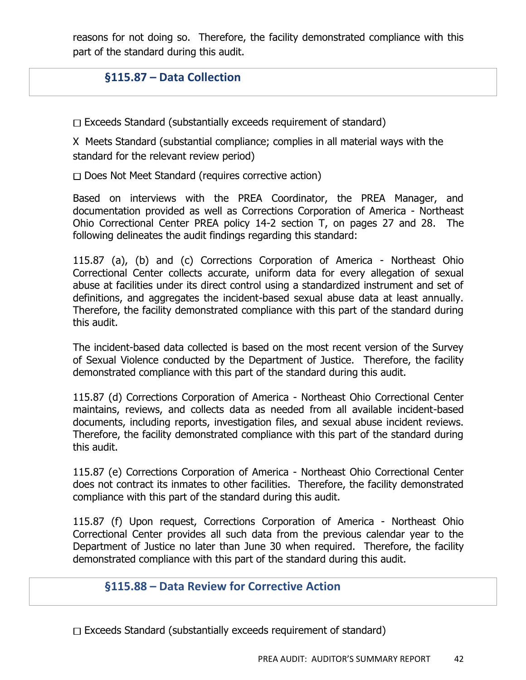reasons for not doing so. Therefore, the facility demonstrated compliance with this part of the standard during this audit.

## **§115.87 – Data Collection**

 $\Box$  Exceeds Standard (substantially exceeds requirement of standard)

X Meets Standard (substantial compliance; complies in all material ways with the standard for the relevant review period)

 $\Box$  Does Not Meet Standard (requires corrective action)

Based on interviews with the PREA Coordinator, the PREA Manager, and documentation provided as well as Corrections Corporation of America - Northeast Ohio Correctional Center PREA policy 14-2 section T, on pages 27 and 28. The following delineates the audit findings regarding this standard:

115.87 (a), (b) and (c) Corrections Corporation of America - Northeast Ohio Correctional Center collects accurate, uniform data for every allegation of sexual abuse at facilities under its direct control using a standardized instrument and set of definitions, and aggregates the incident-based sexual abuse data at least annually. Therefore, the facility demonstrated compliance with this part of the standard during this audit.

The incident-based data collected is based on the most recent version of the Survey of Sexual Violence conducted by the Department of Justice. Therefore, the facility demonstrated compliance with this part of the standard during this audit.

115.87 (d) Corrections Corporation of America - Northeast Ohio Correctional Center maintains, reviews, and collects data as needed from all available incident-based documents, including reports, investigation files, and sexual abuse incident reviews. Therefore, the facility demonstrated compliance with this part of the standard during this audit.

115.87 (e) Corrections Corporation of America - Northeast Ohio Correctional Center does not contract its inmates to other facilities. Therefore, the facility demonstrated compliance with this part of the standard during this audit.

115.87 (f) Upon request, Corrections Corporation of America - Northeast Ohio Correctional Center provides all such data from the previous calendar year to the Department of Justice no later than June 30 when required. Therefore, the facility demonstrated compliance with this part of the standard during this audit.

#### **§115.88 – Data Review for Corrective Action**

 $\Box$  Exceeds Standard (substantially exceeds requirement of standard)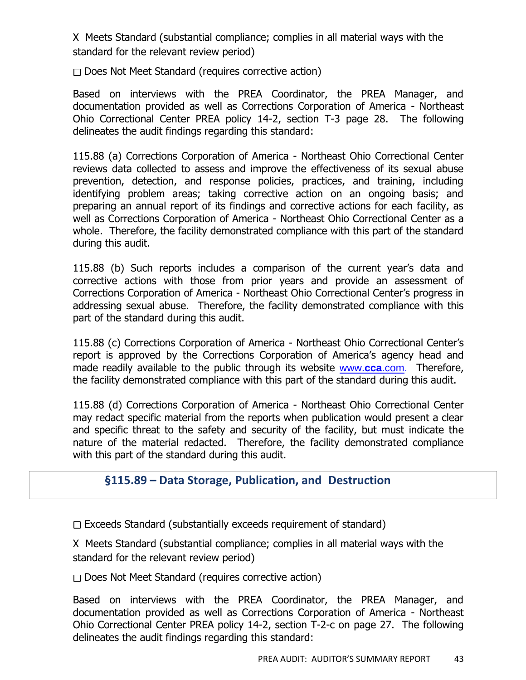X Meets Standard (substantial compliance; complies in all material ways with the standard for the relevant review period)

 $\Box$  Does Not Meet Standard (requires corrective action)

Based on interviews with the PREA Coordinator, the PREA Manager, and documentation provided as well as Corrections Corporation of America - Northeast Ohio Correctional Center PREA policy 14-2, section T-3 page 28. The following delineates the audit findings regarding this standard:

115.88 (a) Corrections Corporation of America - Northeast Ohio Correctional Center reviews data collected to assess and improve the effectiveness of its sexual abuse prevention, detection, and response policies, practices, and training, including identifying problem areas; taking corrective action on an ongoing basis; and preparing an annual report of its findings and corrective actions for each facility, as well as Corrections Corporation of America - Northeast Ohio Correctional Center as a whole. Therefore, the facility demonstrated compliance with this part of the standard during this audit.

115.88 (b) Such reports includes a comparison of the current year's data and corrective actions with those from prior years and provide an assessment of Corrections Corporation of America - Northeast Ohio Correctional Center's progress in addressing sexual abuse. Therefore, the facility demonstrated compliance with this part of the standard during this audit.

115.88 (c) Corrections Corporation of America - Northeast Ohio Correctional Center's report is approved by the Corrections Corporation of America's agency head and made readily available to the public through its website [www.](http://www.cca.com/)**cca**.com. Therefore, the facility demonstrated compliance with this part of the standard during this audit.

115.88 (d) Corrections Corporation of America - Northeast Ohio Correctional Center may redact specific material from the reports when publication would present a clear and specific threat to the safety and security of the facility, but must indicate the nature of the material redacted. Therefore, the facility demonstrated compliance with this part of the standard during this audit.

#### **§115.89 – Data Storage, Publication, and Destruction**

 $\Box$  Exceeds Standard (substantially exceeds requirement of standard)

X Meets Standard (substantial compliance; complies in all material ways with the standard for the relevant review period)

 $\Box$  Does Not Meet Standard (requires corrective action)

Based on interviews with the PREA Coordinator, the PREA Manager, and documentation provided as well as Corrections Corporation of America - Northeast Ohio Correctional Center PREA policy 14-2, section T-2-c on page 27. The following delineates the audit findings regarding this standard: